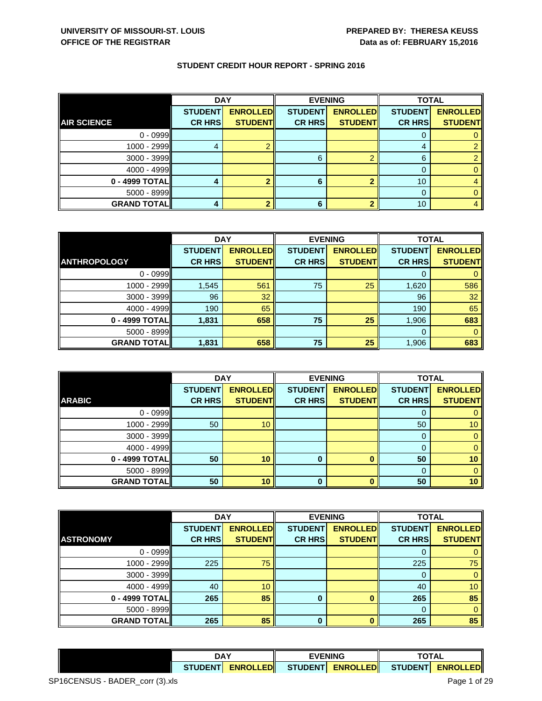|                    | <b>DAY</b>     |                 |                | <b>EVENING</b>  | <b>TOTAL</b>   |                 |
|--------------------|----------------|-----------------|----------------|-----------------|----------------|-----------------|
|                    | <b>STUDENT</b> | <b>ENROLLED</b> | <b>STUDENT</b> | <b>ENROLLED</b> | <b>STUDENT</b> | <b>ENROLLED</b> |
| <b>AIR SCIENCE</b> | <b>CR HRS</b>  | <b>STUDENT</b>  | <b>CR HRS</b>  | <b>STUDENT</b>  | <b>CR HRS</b>  | <b>STUDENT</b>  |
| $0 - 0999$         |                |                 |                |                 |                |                 |
| 1000 - 2999        |                |                 |                |                 | 4              |                 |
| $3000 - 3999$      |                |                 | 6              |                 | 6              |                 |
| $4000 - 4999$      |                |                 |                |                 |                |                 |
| 0 - 4999 TOTAL     |                |                 | 6              |                 | 10             |                 |
| $5000 - 8999$      |                |                 |                |                 |                |                 |
| <b>GRAND TOTAL</b> |                |                 | 6              |                 | 10             |                 |

|                     | <b>DAY</b>     |                 | <b>EVENING</b> |                 | <b>TOTAL</b>   |                 |
|---------------------|----------------|-----------------|----------------|-----------------|----------------|-----------------|
|                     | <b>STUDENT</b> | <b>ENROLLED</b> | <b>STUDENT</b> | <b>ENROLLED</b> | <b>STUDENT</b> | <b>ENROLLED</b> |
| <b>ANTHROPOLOGY</b> | <b>CR HRS</b>  | <b>STUDENT</b>  | <b>CR HRS</b>  | <b>STUDENT</b>  | <b>CR HRS</b>  | <b>STUDENT</b>  |
| $0 - 0999$          |                |                 |                |                 |                |                 |
| 1000 - 2999         | 1,545          | 561             | 75             | 25              | 1,620          | 586             |
| $3000 - 3999$       | 96             | 32              |                |                 | 96             | 32              |
| $4000 - 4999$       | 190            | 65              |                |                 | 190            | 65              |
| 0 - 4999 TOTAL      | 1,831          | 658             | 75             | 25              | 1,906          | 683             |
| 5000 - 8999         |                |                 |                |                 | 0              | 0               |
| <b>GRAND TOTAL</b>  | 1,831          | 658             | 75             | 25              | 1,906          | 683             |

|                    | <b>DAY</b>     |                 |                | <b>EVENING</b>  | <b>TOTAL</b>   |                 |
|--------------------|----------------|-----------------|----------------|-----------------|----------------|-----------------|
|                    | <b>STUDENT</b> | <b>ENROLLED</b> | <b>STUDENT</b> | <b>ENROLLED</b> | <b>STUDENT</b> | <b>ENROLLED</b> |
| <b>ARABIC</b>      | <b>CR HRS</b>  | <b>STUDENT</b>  | <b>CR HRS</b>  | <b>STUDENT</b>  | <b>CR HRS</b>  | <b>STUDENT</b>  |
| $0 - 0999$         |                |                 |                |                 |                |                 |
| $1000 - 2999$      | 50             | 10              |                |                 | 50             | 10 <sup>°</sup> |
| $3000 - 3999$      |                |                 |                |                 | 0              |                 |
| $4000 - 4999$      |                |                 |                |                 |                |                 |
| 0 - 4999 TOTAL     | 50             | 10              | $\bf{0}$       |                 | 50             | 10              |
| $5000 - 8999$      |                |                 |                |                 |                |                 |
| <b>GRAND TOTAL</b> | 50             | 10              | 0              |                 | 50             | 10              |

|                    | <b>DAY</b>     |                 | <b>EVENING</b> |                 | <b>TOTAL</b>   |                 |
|--------------------|----------------|-----------------|----------------|-----------------|----------------|-----------------|
|                    | <b>STUDENT</b> | <b>ENROLLED</b> | <b>STUDENT</b> | <b>ENROLLED</b> | <b>STUDENT</b> | <b>ENROLLED</b> |
| <b>ASTRONOMY</b>   | <b>CR HRS</b>  | <b>STUDENT</b>  | <b>CR HRS</b>  | <b>STUDENT</b>  | <b>CR HRS</b>  | <b>STUDENT</b>  |
| $0 - 0999$         |                |                 |                |                 |                |                 |
| $1000 - 2999$      | 225            | 75              |                |                 | 225            | 75              |
| $3000 - 3999$      |                |                 |                |                 | O              | 0               |
| $4000 - 4999$      | 40             | 10              |                |                 | 40             | 10              |
| 0 - 4999 TOTAL     | 265            | 85              | 0              |                 | 265            | 85              |
| $5000 - 8999$      |                |                 |                |                 | 0              | 0               |
| <b>GRAND TOTAL</b> | 265            | 85              | 0              |                 | 265            | 85              |

|                 | DAY              |  | <b>EVENING</b>     |                 | <b>OTAL</b>      |  |
|-----------------|------------------|--|--------------------|-----------------|------------------|--|
| <b>STUDENTI</b> | <b>ENROLLEDI</b> |  | STUDENTI ENROLLEDI | <b>STUDENTI</b> | <b>ENROLLEDI</b> |  |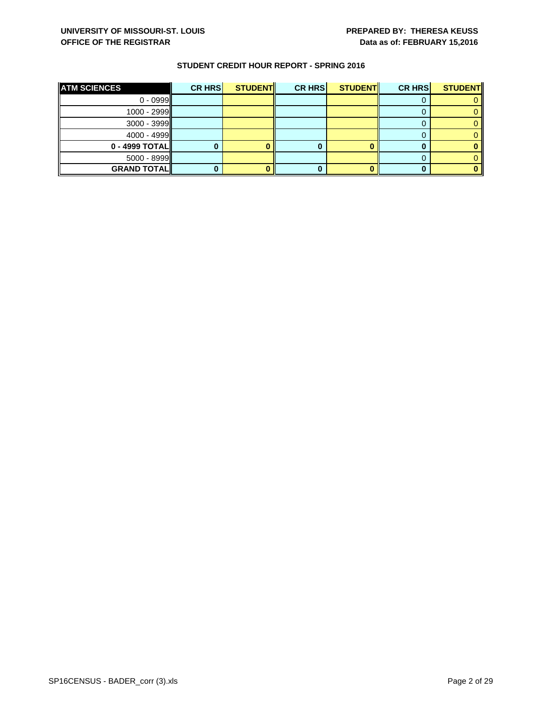| <b>ATM SCIENCES</b>   | CR HRS | <b>STUDENT</b> | <b>CR HRS</b> | STUDENT | <b>CR HRS</b> | <b>STUDENT</b> |
|-----------------------|--------|----------------|---------------|---------|---------------|----------------|
| $0 - 0999$            |        |                |               |         |               |                |
| $1000 - 2999$         |        |                |               |         |               |                |
| $3000 - 3999$         |        |                |               |         |               |                |
| 4000 - 4999 <b>II</b> |        |                |               |         |               |                |
| $0 - 4999$ TOTAL      |        |                |               |         |               |                |
| $5000 - 8999$         |        |                |               |         |               |                |
| <b>GRAND TOTAL</b>    |        |                |               |         |               |                |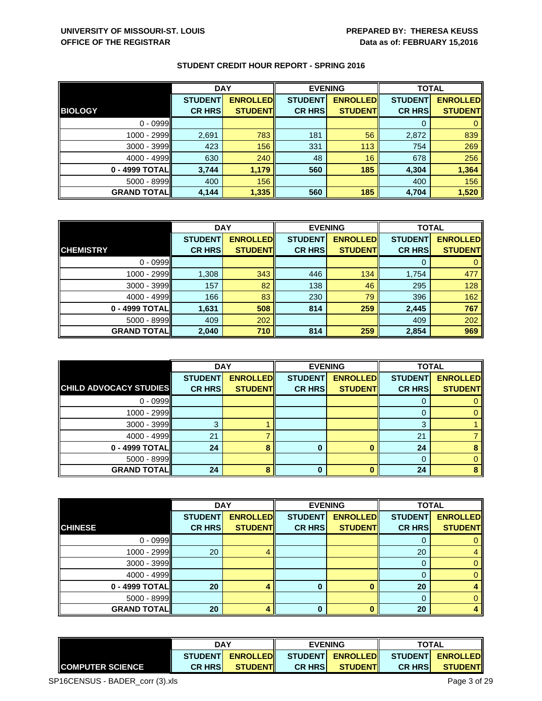|                    | <b>DAY</b>     |                 | <b>EVENING</b> |                 | <b>TOTAL</b>   |                 |
|--------------------|----------------|-----------------|----------------|-----------------|----------------|-----------------|
|                    | <b>STUDENT</b> | <b>ENROLLED</b> | <b>STUDENT</b> | <b>ENROLLED</b> | <b>STUDENT</b> | <b>ENROLLED</b> |
| <b>BIOLOGY</b>     | <b>CR HRS</b>  | <b>STUDENT</b>  | <b>CR HRS</b>  | <b>STUDENT</b>  | <b>CR HRS</b>  | <b>STUDENT</b>  |
| $0 - 0999$         |                |                 |                |                 | O              |                 |
| 1000 - 2999        | 2,691          | 783             | 181            | 56              | 2,872          | 839             |
| $3000 - 3999$      | 423            | 156             | 331            | 113             | 754            | 269             |
| $4000 - 4999$      | 630            | 240             | 48             | 16              | 678            | 256             |
| $0 - 4999$ TOTAL   | 3,744          | 1,179           | 560            | 185             | 4,304          | 1,364           |
| $5000 - 8999$      | 400            | 156             |                |                 | 400            | 156             |
| <b>GRAND TOTAL</b> | 4,144          | 1,335           | 560            | 185             | 4,704          | 1,520           |

|                    | <b>DAY</b>     |                 | <b>EVENING</b> |                 | <b>TOTAL</b>   |                 |
|--------------------|----------------|-----------------|----------------|-----------------|----------------|-----------------|
|                    | <b>STUDENT</b> | <b>ENROLLED</b> | <b>STUDENT</b> | <b>ENROLLED</b> | <b>STUDENT</b> | <b>ENROLLED</b> |
| <b>CHEMISTRY</b>   | <b>CR HRS</b>  | <b>STUDENT</b>  | <b>CR HRS</b>  | <b>STUDENT</b>  | <b>CR HRS</b>  | <b>STUDENT</b>  |
| $0 - 0999$         |                |                 |                |                 |                |                 |
| $1000 - 2999$      | 1,308          | 343             | 446            | 134             | 1,754          | 477             |
| $3000 - 3999$      | 157            | 82              | 138            | 46              | 295            | 128             |
| $4000 - 4999$      | 166            | 83              | 230            | 79              | 396            | 162             |
| $0 - 4999$ TOTAL   | 1,631          | 508             | 814            | 259             | 2,445          | 767             |
| $5000 - 8999$      | 409            | 202             |                |                 | 409            | 202             |
| <b>GRAND TOTAL</b> | 2,040          | 710             | 814            | 259             | 2,854          | 969             |

|                               | <b>DAY</b>     |                 |                | <b>EVENING</b>  | <b>TOTAL</b>   |                 |
|-------------------------------|----------------|-----------------|----------------|-----------------|----------------|-----------------|
|                               | <b>STUDENT</b> | <b>ENROLLED</b> | <b>STUDENT</b> | <b>ENROLLED</b> | <b>STUDENT</b> | <b>ENROLLED</b> |
| <b>CHILD ADVOCACY STUDIES</b> | <b>CR HRS</b>  | <b>STUDENT</b>  | <b>CR HRS</b>  | <b>STUDENT</b>  | <b>CR HRS</b>  | <b>STUDENT</b>  |
| $0 - 0999$                    |                |                 |                |                 | O              |                 |
| 1000 - 2999                   |                |                 |                |                 |                |                 |
| $3000 - 3999$                 |                |                 |                |                 | 3              |                 |
| 4000 - 4999                   | 21             |                 |                |                 | 21             |                 |
| 0 - 4999 TOTAL                | 24             | 8               | 0              |                 | 24             |                 |
| $5000 - 8999$                 |                |                 |                |                 | 0              |                 |
| <b>GRAND TOTAL</b>            | 24             | 8               | 0              |                 | 24             |                 |

|                    | <b>DAY</b>     |                 |                | <b>EVENING</b>  | <b>TOTAL</b>   |                 |
|--------------------|----------------|-----------------|----------------|-----------------|----------------|-----------------|
|                    | <b>STUDENT</b> | <b>ENROLLED</b> | <b>STUDENT</b> | <b>ENROLLED</b> | <b>STUDENT</b> | <b>ENROLLED</b> |
| <b>CHINESE</b>     | <b>CR HRS</b>  | <b>STUDENT</b>  | <b>CR HRS</b>  | <b>STUDENT</b>  | <b>CR HRS</b>  | <b>STUDENT</b>  |
| $0 - 0999$         |                |                 |                |                 |                |                 |
| $1000 - 2999$      | 20             | 4               |                |                 | 20             | 4               |
| $3000 - 3999$      |                |                 |                |                 | 0              | 0               |
| $4000 - 4999$      |                |                 |                |                 |                |                 |
| 0 - 4999 TOTAL     | 20             |                 | 0              |                 | 20             | 4               |
| $5000 - 8999$      |                |                 |                |                 | 0              | 0               |
| <b>GRAND TOTAL</b> | 20             |                 | 0              |                 | 20             | 4               |

|                         | <b>DAY</b><br><b>ENROLLED</b><br><b>STUDENTI</b> |                 | <b>EVENING</b> |                  |                | <b>TOTAL</b>     |  |
|-------------------------|--------------------------------------------------|-----------------|----------------|------------------|----------------|------------------|--|
|                         |                                                  |                 |                | STUDENT ENROLLED |                | STUDENT ENROLLED |  |
| <b>COMPUTER SCIENCE</b> | <b>CR HRSI</b>                                   | <b>STUDENTI</b> | <b>CR HRSI</b> | <b>STUDENTI</b>  | <b>CR HRSI</b> | <b>STUDENT</b>   |  |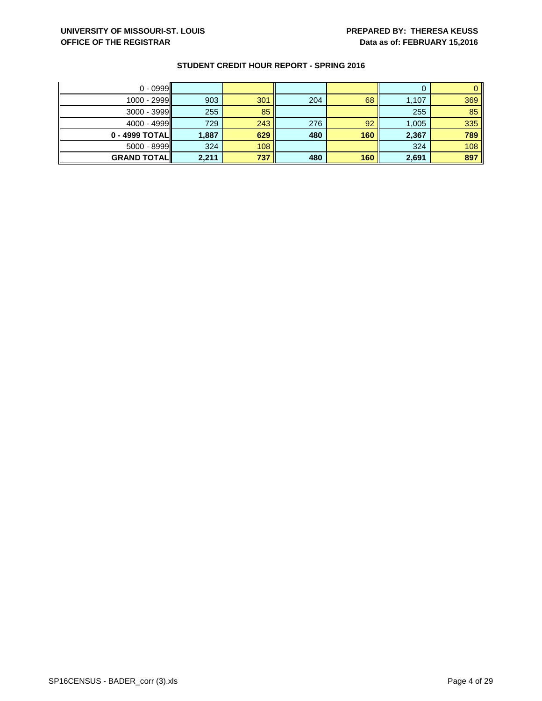| $0 - 0999$          |       |     |     |     |       |     |
|---------------------|-------|-----|-----|-----|-------|-----|
| 1000 - 2999         | 903   | 301 | 204 | 68  | 1,107 | 369 |
| $3000 - 3999$       | 255   | 85  |     |     | 255   | 85  |
| $4000 - 4999$       | 729   | 243 | 276 | 92  | 1,005 | 335 |
| $0 - 4999$ TOTAL    | 1,887 | 629 | 480 | 160 | 2,367 | 789 |
| $5000 - 8999$       | 324   | 108 |     |     | 324   | 108 |
| <b>GRAND TOTALI</b> | 2,211 | 737 | 480 | 160 | 2,691 | 897 |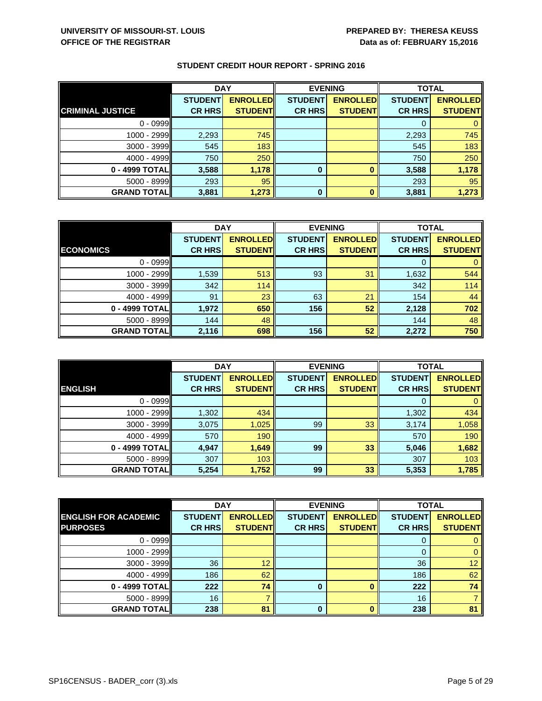|                         | <b>DAY</b>     |                 | <b>EVENING</b> |                 | <b>TOTAL</b>   |                 |
|-------------------------|----------------|-----------------|----------------|-----------------|----------------|-----------------|
|                         | <b>STUDENT</b> | <b>ENROLLED</b> | <b>STUDENT</b> | <b>ENROLLED</b> | <b>STUDENT</b> | <b>ENROLLED</b> |
| <b>CRIMINAL JUSTICE</b> | <b>CR HRS</b>  | <b>STUDENT</b>  | <b>CR HRS</b>  | <b>STUDENT</b>  | <b>CR HRS</b>  | <b>STUDENT</b>  |
| $0 - 0999$              |                |                 |                |                 |                |                 |
| $1000 - 2999$           | 2,293          | 745             |                |                 | 2,293          | 745             |
| $3000 - 3999$           | 545            | 183             |                |                 | 545            | 183             |
| $4000 - 4999$           | 750            | 250             |                |                 | 750            | 250             |
| 0 - 4999 TOTAL          | 3,588          | 1,178           | 0              |                 | 3,588          | 1,178           |
| $5000 - 8999$           | 293            | 95              |                |                 | 293            | 95              |
| <b>GRAND TOTAL</b>      | 3,881          | 1,273           | 0              |                 | 3,881          | 1,273           |

|                    | <b>DAY</b>     |                 |                | <b>EVENING</b>  | <b>TOTAL</b>   |                 |
|--------------------|----------------|-----------------|----------------|-----------------|----------------|-----------------|
|                    | <b>STUDENT</b> | <b>ENROLLED</b> | <b>STUDENT</b> | <b>ENROLLED</b> | <b>STUDENT</b> | <b>ENROLLED</b> |
| <b>ECONOMICS</b>   | <b>CR HRS</b>  | <b>STUDENT</b>  | <b>CR HRS</b>  | <b>STUDENT</b>  | <b>CR HRS</b>  | <b>STUDENT</b>  |
| $0 - 0999$         |                |                 |                |                 |                |                 |
| 1000 - 2999        | 1,539          | 513             | 93             | 31              | 1,632          | 544             |
| $3000 - 3999$      | 342            | 114             |                |                 | 342            | 114             |
| $4000 - 4999$      | 91             | 23              | 63             | 21              | 154            | 44              |
| $0 - 4999$ TOTAL   | 1,972          | 650             | 156            | 52              | 2,128          | 702             |
| $5000 - 8999$      | 144            | 48              |                |                 | 144            | 48              |
| <b>GRAND TOTAL</b> | 2,116          | 698             | 156            | 52              | 2,272          | 750             |

|                    | <b>DAY</b>     |                 | <b>EVENING</b> |                 | <b>TOTAL</b>   |                 |
|--------------------|----------------|-----------------|----------------|-----------------|----------------|-----------------|
|                    | <b>STUDENT</b> | <b>ENROLLED</b> | <b>STUDENT</b> | <b>ENROLLED</b> | <b>STUDENT</b> | <b>ENROLLED</b> |
| <b>ENGLISH</b>     | <b>CR HRS</b>  | <b>STUDENT</b>  | <b>CR HRS</b>  | <b>STUDENT</b>  | <b>CR HRS</b>  | <b>STUDENT</b>  |
| $0 - 0999$         |                |                 |                |                 | 0              | 0               |
| 1000 - 2999        | 1,302          | 434             |                |                 | 1,302          | 434             |
| $3000 - 3999$      | 3,075          | 1,025           | 99             | 33              | 3,174          | 1,058           |
| $4000 - 4999$      | 570            | 190             |                |                 | 570            | 190             |
| 0 - 4999 TOTAL     | 4,947          | 1,649           | 99             | 33              | 5,046          | 1,682           |
| $5000 - 8999$      | 307            | 103             |                |                 | 307            | 103             |
| <b>GRAND TOTAL</b> | 5,254          | 1,752           | 99             | 33              | 5,353          | 1,785           |

|                             | <b>DAY</b><br><b>EVENING</b> |                 |                | <b>TOTAL</b>    |                |                 |
|-----------------------------|------------------------------|-----------------|----------------|-----------------|----------------|-----------------|
| <b>ENGLISH FOR ACADEMIC</b> | <b>STUDENT</b>               | <b>ENROLLED</b> | <b>STUDENT</b> | <b>ENROLLED</b> | <b>STUDENT</b> | <b>ENROLLED</b> |
| <b>PURPOSES</b>             | <b>CR HRS</b>                | <b>STUDENT</b>  | <b>CR HRS</b>  | <b>STUDENT</b>  | <b>CR HRS</b>  | <b>STUDENT</b>  |
| $0 - 0999$                  |                              |                 |                |                 |                |                 |
| $1000 - 2999$               |                              |                 |                |                 |                |                 |
| $3000 - 3999$               | 36                           | 12              |                |                 | 36             | 12 <sup>1</sup> |
| $4000 - 4999$               | 186                          | 62              |                |                 | 186            | 62              |
| 0 - 4999 TOTAL              | 222                          | 74              | 0              |                 | 222            | 74              |
| $5000 - 8999$               | 16                           |                 |                |                 | 16             |                 |
| <b>GRAND TOTAL</b>          | 238                          | 81              | ŋ              |                 | 238            | 81              |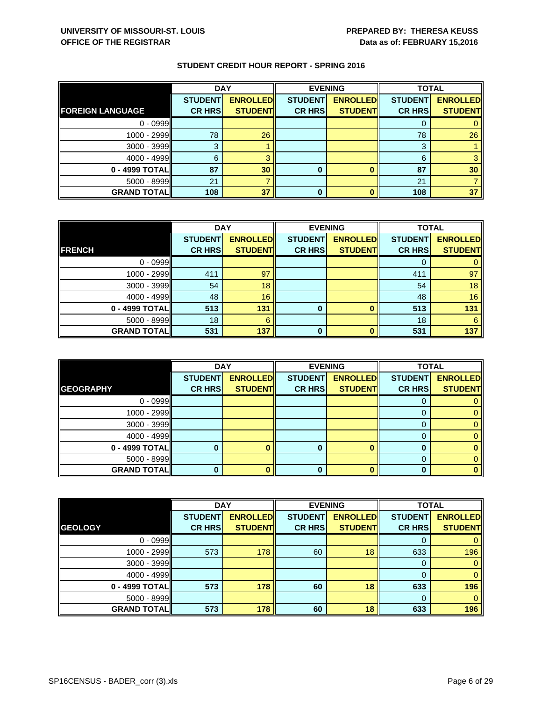| <b>STUDENT CREDIT HOUR REPORT - SPRING 2016</b> |  |  |
|-------------------------------------------------|--|--|
|                                                 |  |  |

|                         | <b>DAY</b>     |                 |                | <b>EVENING</b>  | <b>TOTAL</b>   |                 |
|-------------------------|----------------|-----------------|----------------|-----------------|----------------|-----------------|
|                         | <b>STUDENT</b> | <b>ENROLLED</b> | <b>STUDENT</b> | <b>ENROLLED</b> | <b>STUDENT</b> | <b>ENROLLED</b> |
| <b>FOREIGN LANGUAGE</b> | <b>CR HRS</b>  | <b>STUDENT</b>  | <b>CR HRS</b>  | <b>STUDENT</b>  | <b>CR HRS</b>  | <b>STUDENT</b>  |
| $0 - 0999$              |                |                 |                |                 |                |                 |
| $1000 - 2999$           | 78             | 26              |                |                 | 78             | 26              |
| $3000 - 3999$           | 3              |                 |                |                 | 3              |                 |
| $4000 - 4999$           | 6              |                 |                |                 | 6              |                 |
| $0 - 4999$ TOTAL        | 87             | 30              | 0              |                 | 87             | 30              |
| $5000 - 8999$           | 21             |                 |                |                 | 21             |                 |
| <b>GRAND TOTAL</b>      | 108            | 37              | 0              |                 | 108            | 37              |

|                    | <b>DAY</b>     |                 | <b>EVENING</b> |                 | <b>TOTAL</b>   |                 |
|--------------------|----------------|-----------------|----------------|-----------------|----------------|-----------------|
|                    | <b>STUDENT</b> | <b>ENROLLED</b> | <b>STUDENT</b> | <b>ENROLLED</b> | <b>STUDENT</b> | <b>ENROLLED</b> |
| <b>FRENCH</b>      | <b>CR HRS</b>  | <b>STUDENT</b>  | <b>CR HRS</b>  | <b>STUDENT</b>  | <b>CR HRS</b>  | <b>STUDENT</b>  |
| $0 - 0999$         |                |                 |                |                 | 0              |                 |
| $1000 - 2999$      | 411            | 97              |                |                 | 411            | 97              |
| $3000 - 3999$      | 54             | 18              |                |                 | 54             | 18              |
| $4000 - 4999$      | 48             | 16              |                |                 | 48             | 16              |
| 0 - 4999 TOTAL     | 513            | 131             | 0              |                 | 513            | 131             |
| $5000 - 8999$      | 18             | 6               |                |                 | 18             | 6               |
| <b>GRAND TOTAL</b> | 531            | 137             | 0              |                 | 531            | 137             |

|                    | <b>DAY</b>     |                 |                | <b>EVENING</b>  | <b>TOTAL</b>   |                 |
|--------------------|----------------|-----------------|----------------|-----------------|----------------|-----------------|
|                    | <b>STUDENT</b> | <b>ENROLLED</b> | <b>STUDENT</b> | <b>ENROLLED</b> | <b>STUDENT</b> | <b>ENROLLED</b> |
| <b>GEOGRAPHY</b>   | <b>CR HRS</b>  | <b>STUDENT</b>  | <b>CR HRS</b>  | <b>STUDENT</b>  | <b>CR HRS</b>  | <b>STUDENT</b>  |
| $0 - 0999$         |                |                 |                |                 | O              |                 |
| $1000 - 2999$      |                |                 |                |                 |                |                 |
| $3000 - 3999$      |                |                 |                |                 |                |                 |
| $4000 - 4999$      |                |                 |                |                 | 0              |                 |
| 0 - 4999 TOTAL     |                |                 | 0              | n               | 0              |                 |
| $5000 - 8999$      |                |                 |                |                 | $\Omega$       |                 |
| <b>GRAND TOTAL</b> |                |                 | 0              | 0               |                |                 |

|                    | <b>DAY</b>     |                 | <b>EVENING</b> |                 | <b>TOTAL</b>   |                 |
|--------------------|----------------|-----------------|----------------|-----------------|----------------|-----------------|
|                    | <b>STUDENT</b> | <b>ENROLLED</b> | <b>STUDENT</b> | <b>ENROLLED</b> | <b>STUDENT</b> | <b>ENROLLED</b> |
| <b>GEOLOGY</b>     | <b>CR HRS</b>  | <b>STUDENT</b>  | <b>CR HRS</b>  | <b>STUDENT</b>  | <b>CR HRS</b>  | <b>STUDENT</b>  |
| $0 - 0999$         |                |                 |                |                 |                |                 |
| $1000 - 2999$      | 573            | 178             | 60             | 18              | 633            | 196             |
| $3000 - 3999$      |                |                 |                |                 | 0              | 0               |
| 4000 - 4999        |                |                 |                |                 | 0              | 0               |
| $0 - 4999$ TOTAL   | 573            | 178             | 60             | 18              | 633            | 196             |
| $5000 - 8999$      |                |                 |                |                 | 0              | $\Omega$        |
| <b>GRAND TOTAL</b> | 573            | 178             | 60             | 18              | 633            | 196             |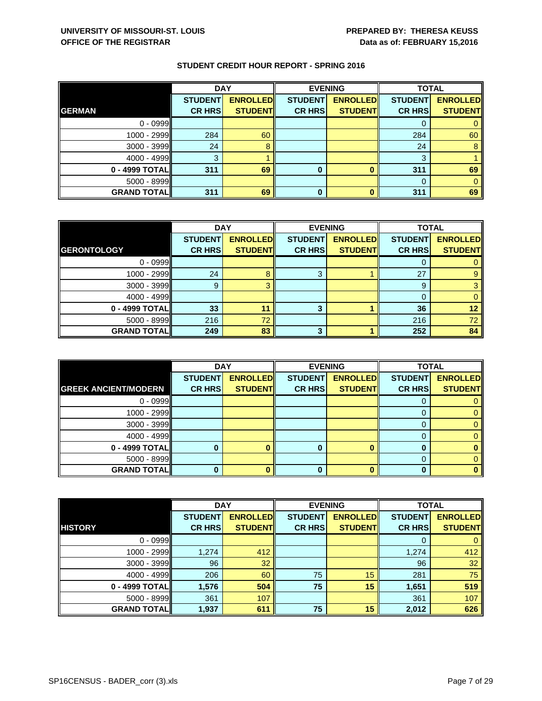|                    | <b>DAY</b>     |                 |                | <b>EVENING</b>  | <b>TOTAL</b>   |                 |
|--------------------|----------------|-----------------|----------------|-----------------|----------------|-----------------|
|                    | <b>STUDENT</b> | <b>ENROLLED</b> | <b>STUDENT</b> | <b>ENROLLED</b> | <b>STUDENT</b> | <b>ENROLLED</b> |
| <b>GERMAN</b>      | <b>CR HRS</b>  | <b>STUDENT</b>  | <b>CR HRS</b>  | <b>STUDENT</b>  | <b>CR HRS</b>  | <b>STUDENT</b>  |
| $0 - 0999$         |                |                 |                |                 |                |                 |
| $1000 - 2999$      | 284            | 60              |                |                 | 284            | 60              |
| $3000 - 3999$      | 24             | 8               |                |                 | 24             | 8               |
| $4000 - 4999$      | 3              |                 |                |                 | 3              |                 |
| 0 - 4999 TOTAL     | 311            | 69              | 0              |                 | 311            | 69              |
| $5000 - 8999$      |                |                 |                |                 | $\Omega$       |                 |
| <b>GRAND TOTAL</b> | 311            | 69              | 0              |                 | 311            | 69              |

|                    | <b>DAY</b>     |                 |                | <b>EVENING</b>  | <b>TOTAL</b>   |                 |
|--------------------|----------------|-----------------|----------------|-----------------|----------------|-----------------|
|                    | <b>STUDENT</b> | <b>ENROLLED</b> | <b>STUDENT</b> | <b>ENROLLED</b> | <b>STUDENT</b> | <b>ENROLLED</b> |
| <b>GERONTOLOGY</b> | <b>CR HRS</b>  | <b>STUDENT</b>  | <b>CR HRS</b>  | <b>STUDENT</b>  | <b>CR HRS</b>  | <b>STUDENT</b>  |
| $0 - 0999$         |                |                 |                |                 |                |                 |
| $1000 - 2999$      | 24             |                 | 3              |                 | 27             | 9               |
| $3000 - 3999$      | 9              |                 |                |                 | 9              |                 |
| $4000 - 4999$      |                |                 |                |                 | $\Omega$       |                 |
| 0 - 4999 TOTAL     | 33             | 11              | 3              |                 | 36             | 12              |
| $5000 - 8999$      | 216            | 72              |                |                 | 216            | 72              |
| <b>GRAND TOTAL</b> | 249            | 83              | 3              |                 | 252            | 84              |

|                             | <b>DAY</b>     |                 |                | <b>EVENING</b>  | <b>TOTAL</b>   |                 |
|-----------------------------|----------------|-----------------|----------------|-----------------|----------------|-----------------|
|                             | <b>STUDENT</b> | <b>ENROLLED</b> | <b>STUDENT</b> | <b>ENROLLED</b> | <b>STUDENT</b> | <b>ENROLLED</b> |
| <b>GREEK ANCIENT/MODERN</b> | <b>CR HRS</b>  | <b>STUDENT</b>  | <b>CR HRS</b>  | <b>STUDENT</b>  | <b>CR HRS</b>  | <b>STUDENT</b>  |
| $0 - 0999$                  |                |                 |                |                 | O              |                 |
| $1000 - 2999$               |                |                 |                |                 |                |                 |
| $3000 - 3999$               |                |                 |                |                 |                |                 |
| $4000 - 4999$               |                |                 |                |                 | O              |                 |
| 0 - 4999 TOTAL              |                |                 | 0              |                 |                |                 |
| $5000 - 8999$               |                |                 |                |                 | 0              |                 |
| <b>GRAND TOTAL</b>          |                |                 | 0              |                 |                |                 |

|                    | <b>DAY</b>     |                 |                | <b>EVENING</b>  | <b>TOTAL</b>   |                 |
|--------------------|----------------|-----------------|----------------|-----------------|----------------|-----------------|
|                    | <b>STUDENT</b> | <b>ENROLLED</b> | <b>STUDENT</b> | <b>ENROLLED</b> | <b>STUDENT</b> | <b>ENROLLED</b> |
| <b>HISTORY</b>     | <b>CR HRS</b>  | <b>STUDENT</b>  | <b>CR HRS</b>  | <b>STUDENT</b>  | <b>CR HRS</b>  | <b>STUDENT</b>  |
| $0 - 0999$         |                |                 |                |                 | O              |                 |
| 1000 - 2999        | 1,274          | 412             |                |                 | 1,274          | 412             |
| 3000 - 3999        | 96             | 32              |                |                 | 96             | 32              |
| 4000 - 4999        | 206            | 60              | 75             | 15              | 281            | 75              |
| $0 - 4999$ TOTAL   | 1,576          | 504             | 75             | 15              | 1,651          | 519             |
| 5000 - 8999        | 361            | 107             |                |                 | 361            | 107             |
| <b>GRAND TOTAL</b> | 1,937          | 611             | 75             | 15              | 2,012          | 626             |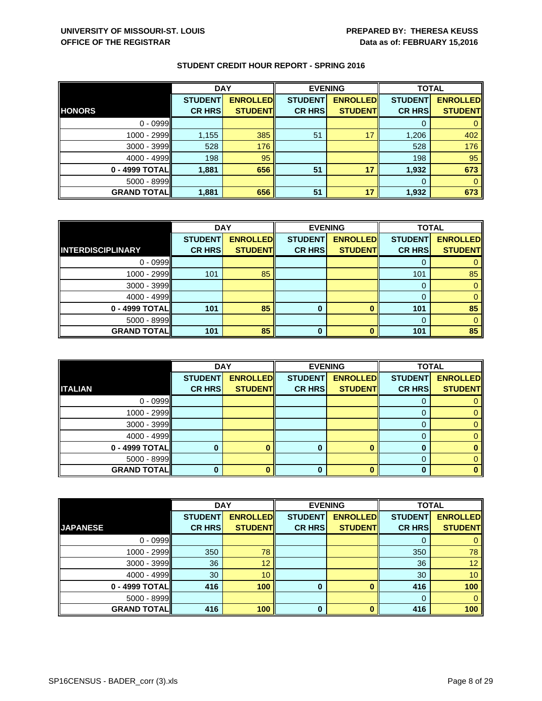|                    | <b>DAY</b>     |                 | <b>EVENING</b> |                 | <b>TOTAL</b>   |                 |
|--------------------|----------------|-----------------|----------------|-----------------|----------------|-----------------|
|                    | <b>STUDENT</b> | <b>ENROLLED</b> | <b>STUDENT</b> | <b>ENROLLED</b> | <b>STUDENT</b> | <b>ENROLLED</b> |
| <b>HONORS</b>      | <b>CR HRS</b>  | <b>STUDENT</b>  | <b>CR HRS</b>  | <b>STUDENT</b>  | <b>CR HRS</b>  | <b>STUDENT</b>  |
| $0 - 0999$         |                |                 |                |                 | O              |                 |
| 1000 - 2999        | 1,155          | 385             | 51             | 17              | 1,206          | 402             |
| $3000 - 3999$      | 528            | 176             |                |                 | 528            | 176             |
| 4000 - 4999        | 198            | 95              |                |                 | 198            | 95              |
| $0 - 4999$ TOTAL   | 1,881          | 656             | 51             | 17              | 1,932          | 673             |
| $5000 - 8999$      |                |                 |                |                 | $\Omega$       | 0               |
| <b>GRAND TOTAL</b> | 1,881          | 656             | 51             | 17              | 1,932          | 673             |

|                          | <b>DAY</b>     |                 | <b>EVENING</b> |                 | <b>TOTAL</b>   |                 |
|--------------------------|----------------|-----------------|----------------|-----------------|----------------|-----------------|
|                          | <b>STUDENT</b> | <b>ENROLLED</b> | <b>STUDENT</b> | <b>ENROLLED</b> | <b>STUDENT</b> | <b>ENROLLED</b> |
| <b>INTERDISCIPLINARY</b> | <b>CR HRS</b>  | <b>STUDENT</b>  | <b>CR HRS</b>  | <b>STUDENT</b>  | <b>CR HRS</b>  | <b>STUDENT</b>  |
| $0 - 0999$               |                |                 |                |                 |                |                 |
| $1000 - 2999$            | 101            | 85              |                |                 | 101            | 85              |
| $3000 - 3999$            |                |                 |                |                 | 0              |                 |
| $4000 - 4999$            |                |                 |                |                 | $\Omega$       | 0               |
| $0 - 4999$ TOTAL         | 101            | 85              | 0              |                 | 101            | 85              |
| $5000 - 8999$            |                |                 |                |                 | 0              |                 |
| <b>GRAND TOTAL</b>       | 101            | 85              | 0              |                 | 101            | 85              |

|                    | <b>DAY</b>     |                 |                | <b>EVENING</b>  | <b>TOTAL</b>   |                 |
|--------------------|----------------|-----------------|----------------|-----------------|----------------|-----------------|
|                    | <b>STUDENT</b> | <b>ENROLLED</b> | <b>STUDENT</b> | <b>ENROLLED</b> | <b>STUDENT</b> | <b>ENROLLED</b> |
| <b>ITALIAN</b>     | <b>CR HRS</b>  | <b>STUDENT</b>  | <b>CR HRS</b>  | <b>STUDENT</b>  | <b>CR HRS</b>  | <b>STUDENT</b>  |
| $0 - 0999$         |                |                 |                |                 | U              |                 |
| 1000 - 2999        |                |                 |                |                 |                |                 |
| $3000 - 3999$      |                |                 |                |                 |                |                 |
| $4000 - 4999$      |                |                 |                |                 | O              |                 |
| 0 - 4999 TOTAL     |                |                 | 0              |                 | 0              |                 |
| $5000 - 8999$      |                |                 |                |                 | 0              |                 |
| <b>GRAND TOTAL</b> |                |                 | 0              |                 |                |                 |

|                    | <b>DAY</b>     |                 | <b>EVENING</b> |                 | <b>TOTAL</b>   |                 |
|--------------------|----------------|-----------------|----------------|-----------------|----------------|-----------------|
|                    | <b>STUDENT</b> | <b>ENROLLED</b> | <b>STUDENT</b> | <b>ENROLLED</b> | <b>STUDENT</b> | <b>ENROLLED</b> |
| <b>JAPANESE</b>    | <b>CR HRS</b>  | <b>STUDENT</b>  | <b>CR HRS</b>  | <b>STUDENT</b>  | <b>CR HRS</b>  | <b>STUDENT</b>  |
| $0 - 0999$         |                |                 |                |                 |                |                 |
| $1000 - 2999$      | 350            | 78              |                |                 | 350            | 78              |
| $3000 - 3999$      | 36             | 12              |                |                 | 36             | 12 <sub>2</sub> |
| $4000 - 4999$      | 30             | 10              |                |                 | 30             | 10              |
| 0 - 4999 TOTAL     | 416            | 100             | 0              |                 | 416            | 100             |
| $5000 - 8999$      |                |                 |                |                 | 0              | $\Omega$        |
| <b>GRAND TOTAL</b> | 416            | 100             | $\Omega$       |                 | 416            | 100             |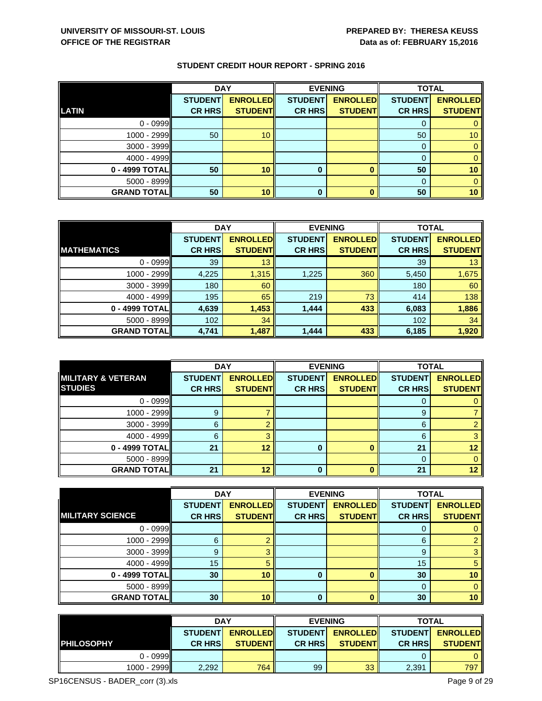|                    | <b>DAY</b>     |                 |                | <b>EVENING</b>  | <b>TOTAL</b>   |                 |
|--------------------|----------------|-----------------|----------------|-----------------|----------------|-----------------|
|                    | <b>STUDENT</b> | <b>ENROLLED</b> | <b>STUDENT</b> | <b>ENROLLED</b> | <b>STUDENT</b> | <b>ENROLLED</b> |
| <b>LATIN</b>       | <b>CR HRS</b>  | <b>STUDENT</b>  | <b>CR HRS</b>  | <b>STUDENT</b>  | <b>CR HRS</b>  | <b>STUDENT</b>  |
| $0 - 0999$         |                |                 |                |                 |                |                 |
| $1000 - 2999$      | 50             | 10              |                |                 | 50             | 10 <sup>°</sup> |
| $3000 - 3999$      |                |                 |                |                 |                |                 |
| $4000 - 4999$      |                |                 |                |                 |                |                 |
| $0 - 4999$ TOTAL   | 50             | 10              | 0              |                 | 50             | 10 <sub>1</sub> |
| $5000 - 8999$      |                |                 |                |                 |                |                 |
| <b>GRAND TOTAL</b> | 50             | 10              | 0              |                 | 50             | 10 <sub>1</sub> |

|                    | <b>DAY</b>     |                 |                | <b>EVENING</b>  | <b>TOTAL</b>   |                 |
|--------------------|----------------|-----------------|----------------|-----------------|----------------|-----------------|
|                    | <b>STUDENT</b> | <b>ENROLLED</b> | <b>STUDENT</b> | <b>ENROLLED</b> | <b>STUDENT</b> | <b>ENROLLED</b> |
| <b>MATHEMATICS</b> | <b>CR HRS</b>  | <b>STUDENT</b>  | <b>CR HRS</b>  | <b>STUDENT</b>  | <b>CR HRS</b>  | <b>STUDENT</b>  |
| $0 - 0999$         | 39             | 13              |                |                 | 39             | 13              |
| 1000 - 2999        | 4,225          | 1,315           | 1,225          | 360             | 5,450          | 1,675           |
| $3000 - 3999$      | 180            | 60              |                |                 | 180            | 60              |
| $4000 - 4999$      | 195            | 65              | 219            | 73              | 414            | 138             |
| 0 - 4999 TOTAL     | 4,639          | 1,453           | 1,444          | 433             | 6,083          | 1,886           |
| $5000 - 8999$      | 102            | 34              |                |                 | 102            | 34              |
| <b>GRAND TOTAL</b> | 4,741          | 1,487           | 1,444          | 433             | 6,185          | 1,920           |

|                               | <b>DAY</b>     |                 |                | <b>EVENING</b>  | <b>TOTAL</b>   |                 |
|-------------------------------|----------------|-----------------|----------------|-----------------|----------------|-----------------|
| <b>MILITARY &amp; VETERAN</b> | <b>STUDENT</b> | <b>ENROLLED</b> | <b>STUDENT</b> | <b>ENROLLED</b> | <b>STUDENT</b> | <b>ENROLLED</b> |
| <b>STUDIES</b>                | <b>CR HRS</b>  | <b>STUDENT</b>  | <b>CR HRS</b>  | <b>STUDENT</b>  | <b>CR HRS</b>  | <b>STUDENT</b>  |
| $0 - 0999$                    |                |                 |                |                 |                |                 |
| $1000 - 2999$                 | 9              |                 |                |                 | 9              |                 |
| $3000 - 3999$                 | 6              |                 |                |                 | 6              |                 |
| $4000 - 4999$                 | 6              |                 |                |                 | 6              |                 |
| 0 - 4999 TOTAL                | 21             | 12              | 0              |                 | 21             | 12              |
| $5000 - 8999$                 |                |                 |                |                 | 0              |                 |
| <b>GRAND TOTAL</b>            | 21             | 12              | 0              |                 | 21             | 12              |

|                         | <b>DAY</b>     |                 |                | <b>EVENING</b>  | <b>TOTAL</b>   |                 |
|-------------------------|----------------|-----------------|----------------|-----------------|----------------|-----------------|
|                         | <b>STUDENT</b> | <b>ENROLLED</b> | <b>STUDENT</b> | <b>ENROLLED</b> | <b>STUDENT</b> | <b>ENROLLED</b> |
| <b>MILITARY SCIENCE</b> | <b>CR HRS</b>  | <b>STUDENT</b>  | <b>CR HRS</b>  | <b>STUDENT</b>  | <b>CR HRS</b>  | <b>STUDENT</b>  |
| $0 - 0999$              |                |                 |                |                 |                |                 |
| $1000 - 2999$           | 6              |                 |                |                 | 6              | $\overline{2}$  |
| $3000 - 3999$           | 9              | 3               |                |                 | 9              | 3               |
| $4000 - 4999$           | 15             | 5               |                |                 | 15             | 5               |
| $0 - 4999$ TOTAL        | 30             | 10              | 0              |                 | 30             | 10              |
| $5000 - 8999$           |                |                 |                |                 | O              | 0               |
| <b>GRAND TOTAL</b>      | 30             | 10              | $\mathbf{0}$   |                 | 30             | 10              |

|                     | <b>DAY</b>     |                  |                | <b>EVENING</b>  | <b>TOTAL</b>   |                 |
|---------------------|----------------|------------------|----------------|-----------------|----------------|-----------------|
|                     | <b>STUDENT</b> | <b>ENROLLEDI</b> | <b>STUDENT</b> | <b>ENROLLED</b> | <b>STUDENT</b> | <b>ENROLLED</b> |
| <b>I</b> PHILOSOPHY | <b>CR HRS</b>  | <b>STUDENTI</b>  | <b>CR HRSI</b> | <b>STUDENTI</b> | <b>CR HRSI</b> | <b>STUDENT</b>  |
| $0 - 0999$          |                |                  |                |                 |                | 0               |
| $1000 - 2999$       | 2,292          | 764              | 99             | 33              | 2,391          | 797             |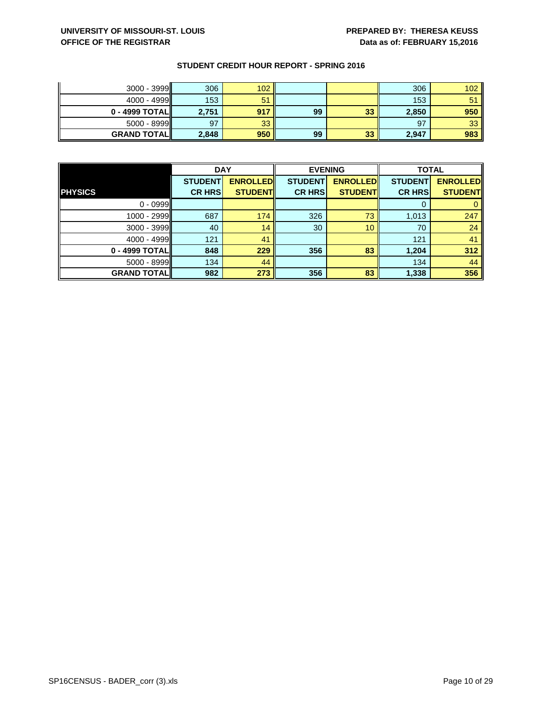| $3000 - 3999$      | 306   | 102 |    |    | 306   | 102 |
|--------------------|-------|-----|----|----|-------|-----|
| $4000 - 4999$      | 153   | 51  |    |    | 153   | 51  |
| $0 - 4999$ TOTAL   | 2,751 | 917 | 99 | 33 | 2,850 | 950 |
| $5000 - 8999$      | 97    | 33  |    |    | 97    | 33  |
| <b>GRAND TOTAL</b> | 2,848 | 950 | 99 | 33 | 2,947 | 983 |

|                    | <b>DAY</b>     |                 | <b>EVENING</b> |                 | <b>TOTAL</b>   |                 |
|--------------------|----------------|-----------------|----------------|-----------------|----------------|-----------------|
|                    | <b>STUDENT</b> | <b>ENROLLED</b> | <b>STUDENT</b> | <b>ENROLLED</b> | <b>STUDENT</b> | <b>ENROLLED</b> |
| <b>PHYSICS</b>     | <b>CR HRS</b>  | <b>STUDENT</b>  | <b>CR HRS</b>  | <b>STUDENT</b>  | <b>CR HRS</b>  | <b>STUDENT</b>  |
| $0 - 0999$         |                |                 |                |                 |                |                 |
| $1000 - 2999$      | 687            | 174             | 326            | 73              | 1,013          | 247             |
| $3000 - 3999$      | 40             | 14              | 30             | 10              | 70             | 24              |
| $4000 - 4999$      | 121            | 41              |                |                 | 121            | 41              |
| $0 - 4999$ TOTAL   | 848            | 229             | 356            | 83              | 1,204          | 312             |
| $5000 - 8999$      | 134            | 44              |                |                 | 134            | 44              |
| <b>GRAND TOTAL</b> | 982            | 273             | 356            | 83              | 1,338          | 356             |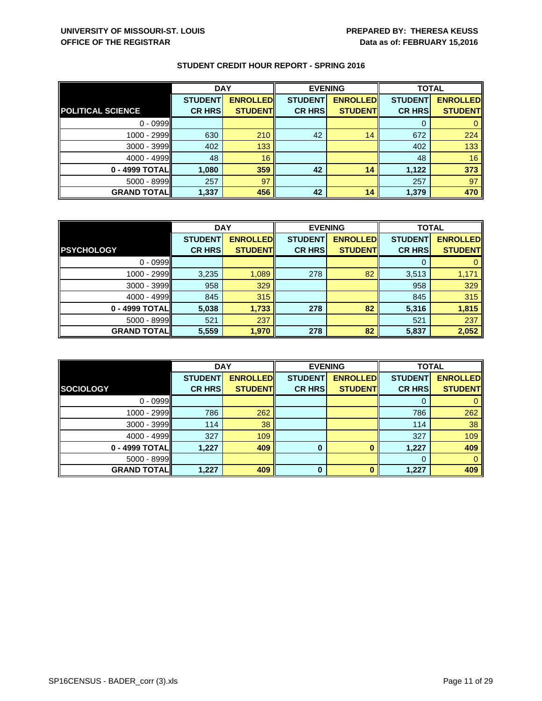|                          | <b>DAY</b>     |                 |                | <b>EVENING</b>  | <b>TOTAL</b>   |                 |
|--------------------------|----------------|-----------------|----------------|-----------------|----------------|-----------------|
|                          | <b>STUDENT</b> | <b>ENROLLED</b> | <b>STUDENT</b> | <b>ENROLLED</b> | <b>STUDENT</b> | <b>ENROLLED</b> |
| <b>POLITICAL SCIENCE</b> | <b>CR HRS</b>  | <b>STUDENT</b>  | <b>CR HRS</b>  | <b>STUDENT</b>  | <b>CR HRS</b>  | <b>STUDENT</b>  |
| $0 - 0999$               |                |                 |                |                 | O              |                 |
| $1000 - 2999$            | 630            | 210             | 42             | 14              | 672            | 224             |
| $3000 - 3999$            | 402            | 133             |                |                 | 402            | 133             |
| $4000 - 4999$            | 48             | 16              |                |                 | 48             | 16              |
| 0 - 4999 TOTAL           | 1,080          | 359             | 42             | 14              | 1,122          | 373             |
| $5000 - 8999$            | 257            | 97              |                |                 | 257            | 97              |
| <b>GRAND TOTAL</b>       | 1,337          | 456             | 42             | 14              | 1,379          | 470             |

|                    | <b>DAY</b>     |                 | <b>EVENING</b> |                 | <b>TOTAL</b>   |                 |
|--------------------|----------------|-----------------|----------------|-----------------|----------------|-----------------|
|                    | <b>STUDENT</b> | <b>ENROLLED</b> | <b>STUDENT</b> | <b>ENROLLED</b> | <b>STUDENT</b> | <b>ENROLLED</b> |
| <b>PSYCHOLOGY</b>  | <b>CR HRS</b>  | <b>STUDENT</b>  | <b>CR HRS</b>  | <b>STUDENT</b>  | <b>CR HRS</b>  | <b>STUDENT</b>  |
| $0 - 0999$         |                |                 |                |                 |                |                 |
| 1000 - 2999        | 3,235          | 1,089           | 278            | 82              | 3,513          | 1,171           |
| $3000 - 3999$      | 958            | 329             |                |                 | 958            | 329             |
| $4000 - 4999$      | 845            | 315             |                |                 | 845            | 315             |
| $0 - 4999$ TOTAL   | 5,038          | 1,733           | 278            | 82              | 5,316          | 1,815           |
| $5000 - 8999$      | 521            | 237             |                |                 | 521            | 237             |
| <b>GRAND TOTAL</b> | 5,559          | 1,970           | 278            | 82              | 5,837          | 2,052           |

|                    | <b>DAY</b>     |                 |                | <b>EVENING</b>  | <b>TOTAL</b>   |                 |
|--------------------|----------------|-----------------|----------------|-----------------|----------------|-----------------|
|                    | <b>STUDENT</b> | <b>ENROLLED</b> | <b>STUDENT</b> | <b>ENROLLED</b> | <b>STUDENT</b> | <b>ENROLLED</b> |
| SOCIOLOGY          | <b>CR HRS</b>  | <b>STUDENT</b>  | <b>CR HRS</b>  | <b>STUDENT</b>  | <b>CR HRS</b>  | <b>STUDENT</b>  |
| $0 - 0999$         |                |                 |                |                 |                |                 |
| $1000 - 2999$      | 786            | 262             |                |                 | 786            | 262             |
| 3000 - 3999        | 114            | 38              |                |                 | 114            | 38              |
| 4000 - 4999        | 327            | 109             |                |                 | 327            | 109             |
| 0 - 4999 TOTAL     | 1,227          | 409             | 0              |                 | 1,227          | 409             |
| $5000 - 8999$      |                |                 |                |                 | 0              | 0               |
| <b>GRAND TOTAL</b> | 1,227          | 409             | $\bf{0}$       | n               | 1,227          | 409             |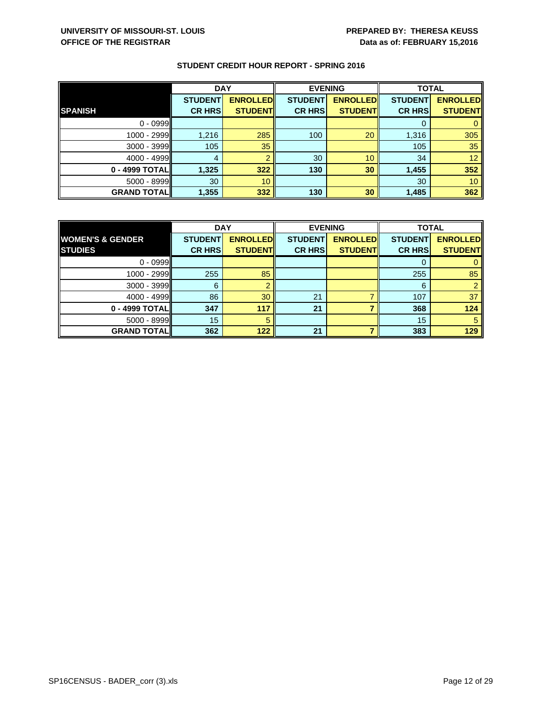|                    | <b>DAY</b>     |                 |                | <b>EVENING</b>  | <b>TOTAL</b>   |                 |
|--------------------|----------------|-----------------|----------------|-----------------|----------------|-----------------|
|                    | <b>STUDENT</b> | <b>ENROLLED</b> | <b>STUDENT</b> | <b>ENROLLED</b> | <b>STUDENT</b> | <b>ENROLLED</b> |
| <b>SPANISH</b>     | <b>CR HRS</b>  | <b>STUDENT</b>  | <b>CR HRS</b>  | <b>STUDENT</b>  | <b>CR HRS</b>  | <b>STUDENT</b>  |
| $0 - 0999$         |                |                 |                |                 | O              |                 |
| $1000 - 2999$      | 1,216          | 285             | 100            | 20              | 1,316          | 305             |
| $3000 - 3999$      | 105            | 35              |                |                 | 105            | 35              |
| $4000 - 4999$      | 4              | റ               | 30             | 10              | 34             | 12 <sub>2</sub> |
| $0 - 4999$ TOTAL   | 1,325          | 322             | 130            | 30              | 1,455          | 352             |
| $5000 - 8999$      | 30             | 10 <sup>°</sup> |                |                 | 30             | 10              |
| <b>GRAND TOTAL</b> | 1,355          | 332             | 130            | 30              | 1,485          | 362             |

|                             | <b>DAY</b>     |                 | <b>EVENING</b> |                 | <b>TOTAL</b>   |                 |
|-----------------------------|----------------|-----------------|----------------|-----------------|----------------|-----------------|
| <b>WOMEN'S &amp; GENDER</b> | <b>STUDENT</b> | <b>ENROLLED</b> | <b>STUDENT</b> | <b>ENROLLED</b> | <b>STUDENT</b> | <b>ENROLLED</b> |
| <b>STUDIES</b>              | <b>CR HRS</b>  | <b>STUDENT</b>  | <b>CR HRS</b>  | <b>STUDENT</b>  | <b>CR HRS</b>  | <b>STUDENT</b>  |
| $0 - 0999$                  |                |                 |                |                 |                |                 |
| $1000 - 2999$               | 255            | 85              |                |                 | 255            | 85              |
| $3000 - 3999$               | 6              |                 |                |                 | 6              |                 |
| $4000 - 4999$               | 86             | 30              | 21             |                 | 107            | 37              |
| $0 - 4999$ TOTAL            | 347            | 117             | 21             |                 | 368            | 124             |
| $5000 - 8999$               | 15             | 5               |                |                 | 15             | 5               |
| <b>GRAND TOTAL</b>          | 362            | 122             | 21             |                 | 383            | 129             |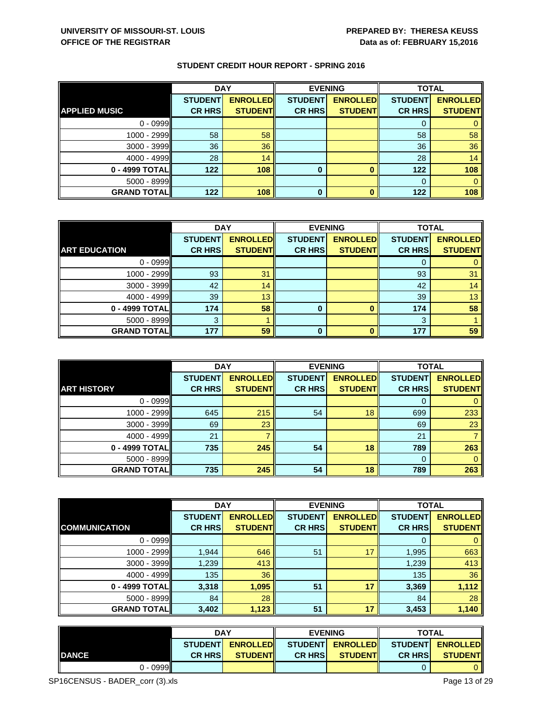|                      | <b>DAY</b>     |                 | <b>EVENING</b> |                 | <b>TOTAL</b>   |                 |
|----------------------|----------------|-----------------|----------------|-----------------|----------------|-----------------|
|                      | <b>STUDENT</b> | <b>ENROLLED</b> | <b>STUDENT</b> | <b>ENROLLED</b> | <b>STUDENT</b> | <b>ENROLLED</b> |
| <b>APPLIED MUSIC</b> | <b>CR HRS</b>  | <b>STUDENT</b>  | <b>CR HRS</b>  | <b>STUDENT</b>  | <b>CR HRS</b>  | <b>STUDENT</b>  |
| $0 - 0999$           |                |                 |                |                 |                | 0               |
| $1000 - 2999$        | 58             | 58              |                |                 | 58             | 58 <sup>°</sup> |
| $3000 - 3999$        | 36             | 36              |                |                 | 36             | 36              |
| $4000 - 4999$        | 28             | 14              |                |                 | 28             | 14              |

**0 - 4999 TOTAL 122 108 0 0 122 108** 5000 - 8999 0 0 **GRAND TOTAL 122 108 0 0 122 108**

|                      | <b>DAY</b>     |                 | <b>EVENING</b> |                 | <b>TOTAL</b>   |                 |
|----------------------|----------------|-----------------|----------------|-----------------|----------------|-----------------|
|                      | <b>STUDENT</b> | <b>ENROLLED</b> | <b>STUDENT</b> | <b>ENROLLED</b> | <b>STUDENT</b> | <b>ENROLLED</b> |
| <b>ART EDUCATION</b> | <b>CR HRS</b>  | <b>STUDENT</b>  | <b>CR HRS</b>  | <b>STUDENT</b>  | <b>CR HRS</b>  | <b>STUDENT</b>  |
| $0 - 0999$           |                |                 |                |                 |                |                 |
| 1000 - 2999          | 93             | 31              |                |                 | 93             | 31              |
| $3000 - 3999$        | 42             | 14              |                |                 | 42             | 14              |
| $4000 - 4999$        | 39             | 13              |                |                 | 39             | 13              |
| $0 - 4999$ TOTAL     | 174            | 58              | 0              | Ω               | 174            | 58              |
| $5000 - 8999$        | 3              |                 |                |                 | 3              |                 |
| <b>GRAND TOTAL</b>   | 177            | 59              | 0              |                 | 177            | 59              |

|                    | <b>DAY</b>     |                 |                | <b>EVENING</b>  | <b>TOTAL</b>   |                 |
|--------------------|----------------|-----------------|----------------|-----------------|----------------|-----------------|
|                    | <b>STUDENT</b> | <b>ENROLLED</b> | <b>STUDENT</b> | <b>ENROLLED</b> | <b>STUDENT</b> | <b>ENROLLED</b> |
| <b>ART HISTORY</b> | <b>CR HRS</b>  | <b>STUDENT</b>  | <b>CR HRS</b>  | <b>STUDENT</b>  | <b>CR HRS</b>  | <b>STUDENT</b>  |
| $0 - 0999$         |                |                 |                |                 | O              |                 |
| $1000 - 2999$      | 645            | 215             | 54             | 18              | 699            | 233             |
| $3000 - 3999$      | 69             | 23              |                |                 | 69             | 23              |
| $4000 - 4999$      | 21             |                 |                |                 | 21             |                 |
| 0 - 4999 TOTAL     | 735            | 245             | 54             | 18              | 789            | 263             |
| $5000 - 8999$      |                |                 |                |                 | $\Omega$       | $\Omega$        |
| <b>GRAND TOTAL</b> | 735            | 245             | 54             | 18              | 789            | 263             |

|                      | <b>DAY</b>     |                 |                | <b>EVENING</b>  | <b>TOTAL</b>   |                 |
|----------------------|----------------|-----------------|----------------|-----------------|----------------|-----------------|
|                      | <b>STUDENT</b> | <b>ENROLLED</b> | <b>STUDENT</b> | <b>ENROLLED</b> | <b>STUDENT</b> | <b>ENROLLED</b> |
| <b>COMMUNICATION</b> | <b>CR HRS</b>  | <b>STUDENT</b>  | <b>CR HRS</b>  | <b>STUDENT</b>  | <b>CR HRS</b>  | <b>STUDENT</b>  |
| $0 - 0999$           |                |                 |                |                 | 0              | $\mathbf{0}$    |
| 1000 - 2999          | 1,944          | 646             | 51             | 17              | 1,995          | 663             |
| $3000 - 3999$        | 1,239          | 413             |                |                 | 1,239          | 413             |
| $4000 - 4999$        | 135            | 36              |                |                 | 135            | 36              |
| 0 - 4999 TOTAL       | 3,318          | 1,095           | 51             | 17              | 3,369          | 1,112           |
| $5000 - 8999$        | 84             | 28              |                |                 | 84             | 28              |
| <b>GRAND TOTAL</b>   | 3,402          | 1,123           | 51             | 17              | 3,453          | 1,140           |

|               |                | <b>DAY</b>       |                | <b>EVENING</b>  |                                   | <b>TOTAL</b>   |  |
|---------------|----------------|------------------|----------------|-----------------|-----------------------------------|----------------|--|
|               |                | STUDENT ENROLLED |                |                 | STUDENT ENROLLED STUDENT ENROLLED |                |  |
| <b>IDANCE</b> | <b>CR HRSI</b> | <b>STUDENTI</b>  | <b>CR HRSI</b> | <b>STUDENTI</b> | <b>CR HRSI</b>                    | <b>STUDENT</b> |  |
| $0 - 0999$    |                |                  |                |                 |                                   |                |  |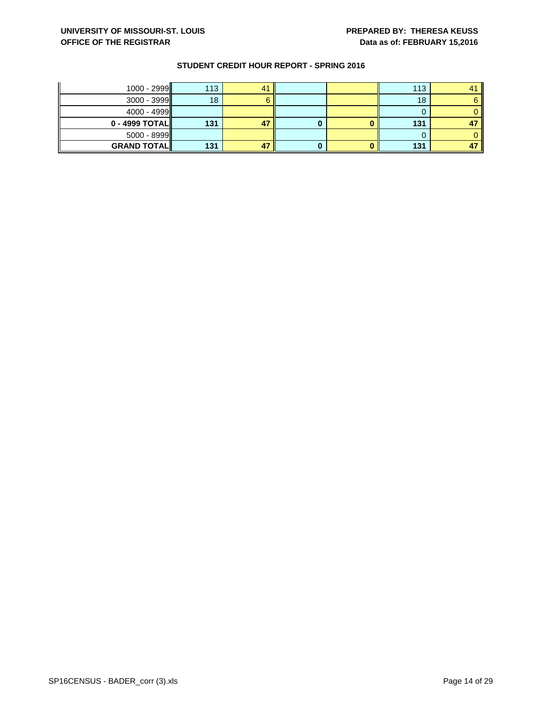| $1000 - 2999$      | 113 | 4 <sup>1</sup> |  | 113 |    |
|--------------------|-----|----------------|--|-----|----|
| $3000 - 3999$      | 18  |                |  | 18  |    |
| $4000 - 4999$      |     |                |  |     |    |
| $0 - 4999$ TOTAL   | 131 | 47             |  | 131 | 47 |
| $5000 - 8999$      |     |                |  |     |    |
| <b>GRAND TOTAL</b> | 131 | 47             |  | 131 |    |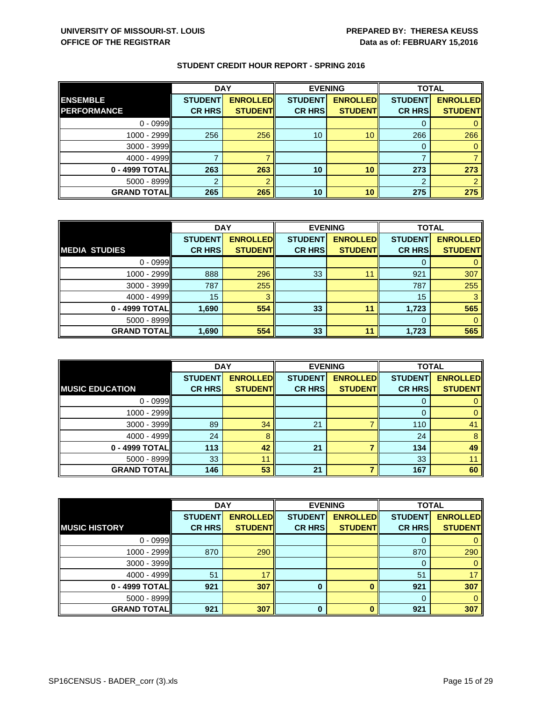|                    | <b>DAY</b>     |                 |                | <b>EVENING</b>  | <b>TOTAL</b>   |                 |
|--------------------|----------------|-----------------|----------------|-----------------|----------------|-----------------|
| <b>ENSEMBLE</b>    | <b>STUDENT</b> | <b>ENROLLED</b> | <b>STUDENT</b> | <b>ENROLLED</b> | <b>STUDENT</b> | <b>ENROLLED</b> |
| <b>PERFORMANCE</b> | <b>CR HRS</b>  | <b>STUDENT</b>  | <b>CR HRS</b>  | <b>STUDENT</b>  | <b>CR HRS</b>  | <b>STUDENT</b>  |
| $0 - 0999$         |                |                 |                |                 |                |                 |
| $1000 - 2999$      | 256            | 256             | 10             | 10              | 266            | 266             |
| $3000 - 3999$      |                |                 |                |                 | 0              |                 |
| $4000 - 4999$      |                |                 |                |                 |                |                 |
| 0 - 4999 TOTAL     | 263            | 263             | 10             | 10              | 273            | 273             |
| $5000 - 8999$      |                |                 |                |                 | $\overline{2}$ |                 |
| <b>GRAND TOTAL</b> | 265            | 265             | 10             | 10              | 275            | 275             |

|                      | <b>DAY</b>     |                 | <b>EVENING</b> |                 | <b>TOTAL</b>   |                 |
|----------------------|----------------|-----------------|----------------|-----------------|----------------|-----------------|
|                      | <b>STUDENT</b> | <b>ENROLLED</b> | <b>STUDENT</b> | <b>ENROLLED</b> | <b>STUDENT</b> | <b>ENROLLED</b> |
| <b>MEDIA STUDIES</b> | <b>CR HRS</b>  | <b>STUDENT</b>  | <b>CR HRS</b>  | <b>STUDENT</b>  | <b>CR HRS</b>  | <b>STUDENT</b>  |
| $0 - 0999$           |                |                 |                |                 |                |                 |
| $1000 - 2999$        | 888            | 296             | 33             |                 | 921            | 307             |
| $3000 - 3999$        | 787            | 255             |                |                 | 787            | 255             |
| $4000 - 4999$        | 15             |                 |                |                 | 15             |                 |
| $0 - 4999$ TOTAL     | 1,690          | 554             | 33             | 11              | 1,723          | 565             |
| $5000 - 8999$        |                |                 |                |                 |                |                 |
| <b>GRAND TOTAL</b>   | 1,690          | 554             | 33             | 44              | 1,723          | 565             |

|                        |                | <b>DAY</b>      |                | <b>EVENING</b>  |                | <b>TOTAL</b>    |  |
|------------------------|----------------|-----------------|----------------|-----------------|----------------|-----------------|--|
|                        | <b>STUDENT</b> | <b>ENROLLED</b> | <b>STUDENT</b> | <b>ENROLLED</b> | <b>STUDENT</b> | <b>ENROLLED</b> |  |
| <b>MUSIC EDUCATION</b> | <b>CR HRS</b>  | <b>STUDENT</b>  | <b>CR HRS</b>  | <b>STUDENT</b>  | <b>CR HRS</b>  | <b>STUDENT</b>  |  |
| $0 - 0999$             |                |                 |                |                 | υ              |                 |  |
| 1000 - 2999            |                |                 |                |                 | 0              |                 |  |
| $3000 - 3999$          | 89             | 34              | 21             |                 | 110            | 41              |  |
| $4000 - 4999$          | 24             | 8               |                |                 | 24             | 8               |  |
| 0 - 4999 TOTAL         | 113            | 42              | 21             |                 | 134            | 49              |  |
| $5000 - 8999$          | 33             | 11              |                |                 | 33             |                 |  |
| <b>GRAND TOTAL</b>     | 146            | 53              | 21             |                 | 167            | 60              |  |

|                      | <b>DAY</b>     |                 | <b>EVENING</b> |                 | <b>TOTAL</b>   |                 |
|----------------------|----------------|-----------------|----------------|-----------------|----------------|-----------------|
|                      | <b>STUDENT</b> | <b>ENROLLED</b> | <b>STUDENT</b> | <b>ENROLLED</b> | <b>STUDENT</b> | <b>ENROLLED</b> |
| <b>MUSIC HISTORY</b> | <b>CR HRS</b>  | <b>STUDENT</b>  | <b>CR HRS</b>  | <b>STUDENT</b>  | <b>CR HRS</b>  | <b>STUDENT</b>  |
| $0 - 0999$           |                |                 |                |                 |                |                 |
| $1000 - 2999$        | 870            | 290             |                |                 | 870            | 290             |
| $3000 - 3999$        |                |                 |                |                 | O              | 0               |
| $4000 - 4999$        | 51             | 17              |                |                 | 51             | 17              |
| 0 - 4999 TOTAL       | 921            | 307             | 0              |                 | 921            | 307             |
| $5000 - 8999$        |                |                 |                |                 | 0              |                 |
| <b>GRAND TOTAL</b>   | 921            | 307             | ŋ              |                 | 921            | 307             |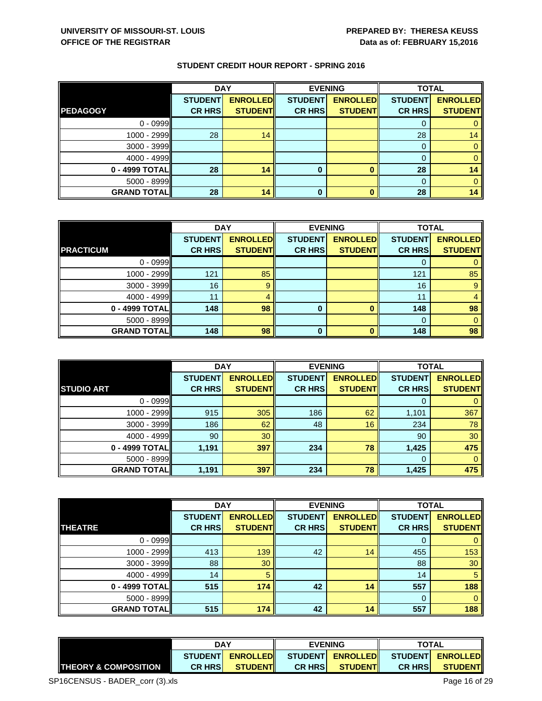|                    | <b>DAY</b>     |                 |                | <b>EVENING</b>  | <b>TOTAL</b>   |                 |
|--------------------|----------------|-----------------|----------------|-----------------|----------------|-----------------|
|                    | <b>STUDENT</b> | <b>ENROLLED</b> | <b>STUDENT</b> | <b>ENROLLED</b> | <b>STUDENT</b> | <b>ENROLLED</b> |
| <b>PEDAGOGY</b>    | <b>CR HRS</b>  | <b>STUDENT</b>  | <b>CR HRS</b>  | <b>STUDENT</b>  | <b>CR HRS</b>  | <b>STUDENT</b>  |
| $0 - 0999$         |                |                 |                |                 | U              |                 |
| $1000 - 2999$      | 28             | 14              |                |                 | 28             | 14              |
| $3000 - 3999$      |                |                 |                |                 | $\Omega$       |                 |
| $4000 - 4999$      |                |                 |                |                 | $\Omega$       |                 |
| $0 - 4999$ TOTAL   | 28             | 14              | 0              |                 | 28             | 14              |
| $5000 - 8999$      |                |                 |                |                 | $\Omega$       |                 |
| <b>GRAND TOTAL</b> | 28             | 14              | 0              |                 | 28             | 14              |

|                    | <b>DAY</b>     |                 |                | <b>EVENING</b>  |                | <b>TOTAL</b>    |  |
|--------------------|----------------|-----------------|----------------|-----------------|----------------|-----------------|--|
|                    | <b>STUDENT</b> | <b>ENROLLED</b> | <b>STUDENT</b> | <b>ENROLLED</b> | <b>STUDENT</b> | <b>ENROLLED</b> |  |
| <b>PRACTICUM</b>   | <b>CR HRS</b>  | <b>STUDENT</b>  | <b>CR HRS</b>  | <b>STUDENT</b>  | <b>CR HRS</b>  | <b>STUDENT</b>  |  |
| $0 - 0999$         |                |                 |                |                 |                |                 |  |
| $1000 - 2999$      | 121            | 85              |                |                 | 121            | 85              |  |
| $3000 - 3999$      | 16             | 9               |                |                 | 16             | $\overline{9}$  |  |
| 4000 - 4999        | 11             |                 |                |                 | 11             |                 |  |
| $0 - 4999$ TOTAL   | 148            | 98              | 0              |                 | 148            | 98              |  |
| $5000 - 8999$      |                |                 |                |                 | $\Omega$       | 0               |  |
| <b>GRAND TOTAL</b> | 148            | 98              | $\bf{0}$       | n               | 148            | 98              |  |

|                    | <b>DAY</b>     |                 |                | <b>EVENING</b>  | <b>TOTAL</b>   |                 |
|--------------------|----------------|-----------------|----------------|-----------------|----------------|-----------------|
|                    | <b>STUDENT</b> | <b>ENROLLED</b> | <b>STUDENT</b> | <b>ENROLLED</b> | <b>STUDENT</b> | <b>ENROLLED</b> |
| <b>STUDIO ART</b>  | <b>CR HRS</b>  | <b>STUDENT</b>  | <b>CR HRS</b>  | <b>STUDENT</b>  | <b>CR HRS</b>  | <b>STUDENT</b>  |
| $0 - 0999$         |                |                 |                |                 | O              |                 |
| 1000 - 2999        | 915            | 305             | 186            | 62              | 1,101          | 367             |
| $3000 - 3999$      | 186            | 62              | 48             | 16              | 234            | 78              |
| 4000 - 4999        | 90             | 30              |                |                 | 90             | 30              |
| 0 - 4999 TOTAL     | 1,191          | 397             | 234            | 78              | 1,425          | 475             |
| 5000 - 8999        |                |                 |                |                 | $\Omega$       | $\Omega$        |
| <b>GRAND TOTAL</b> | 1,191          | 397             | 234            | 78              | 1,425          | 475             |

|                    | <b>DAY</b>     |                 | <b>EVENING</b> |                 | <b>TOTAL</b>   |                 |
|--------------------|----------------|-----------------|----------------|-----------------|----------------|-----------------|
|                    | <b>STUDENT</b> | <b>ENROLLED</b> | <b>STUDENT</b> | <b>ENROLLED</b> | <b>STUDENT</b> | <b>ENROLLED</b> |
| <b>THEATRE</b>     | <b>CR HRS</b>  | <b>STUDENT</b>  | <b>CR HRS</b>  | <b>STUDENT</b>  | <b>CR HRS</b>  | <b>STUDENT</b>  |
| $0 - 0999$         |                |                 |                |                 |                | $\mathbf{0}$    |
| $1000 - 2999$      | 413            | 139             | 42             | 14              | 455            | 153             |
| $3000 - 3999$      | 88             | 30              |                |                 | 88             | 30              |
| 4000 - 4999        | 14             | 5               |                |                 | 14             | 5               |
| 0 - 4999 TOTAL     | 515            | 174             | 42             | 14              | 557            | 188             |
| $5000 - 8999$      |                |                 |                |                 | 0              | $\overline{0}$  |
| <b>GRAND TOTAL</b> | 515            | 174             | 42             | 14              | 557            | 188             |

|                                  | DAY<br><b>ENROLLED</b><br><b>STUDENTI</b> |                 | <b>EVENING</b> |                                   | <b>TOTAL</b>   |                |
|----------------------------------|-------------------------------------------|-----------------|----------------|-----------------------------------|----------------|----------------|
|                                  |                                           |                 |                | STUDENT ENROLLED STUDENT ENROLLED |                |                |
| <b>ITHEORY &amp; COMPOSITION</b> | <b>CR HRSI</b>                            | <b>STUDENTI</b> | <b>CR HRSI</b> | <b>STUDENT</b>                    | <b>CR HRSI</b> | <b>STUDENT</b> |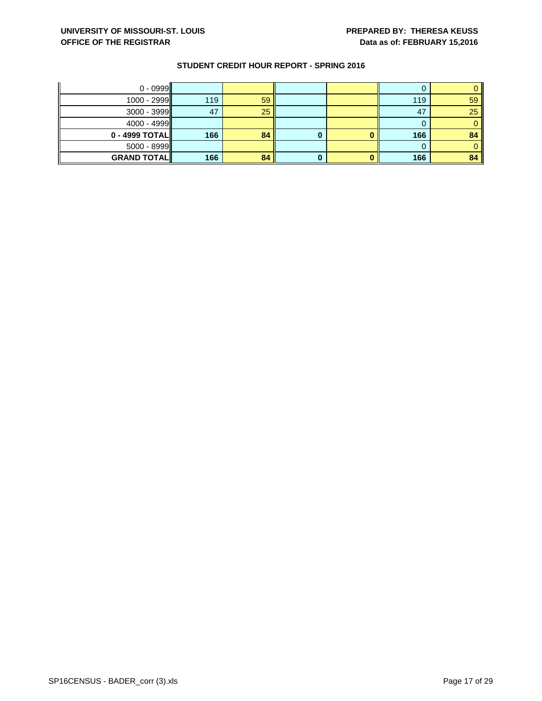| $0 - 0999$         |     |    |   |     |    |
|--------------------|-----|----|---|-----|----|
| $1000 - 2999$      | 119 | 59 |   | 119 | 59 |
| $3000 - 3999$      | 47  | 25 |   | 47  | 25 |
| 4000 - 4999        |     |    |   |     |    |
| $0 - 4999$ TOTAL   | 166 | 84 | υ | 166 | 84 |
| $5000 - 8999$      |     |    |   |     |    |
| <b>GRAND TOTAL</b> | 166 | 84 |   | 166 | 84 |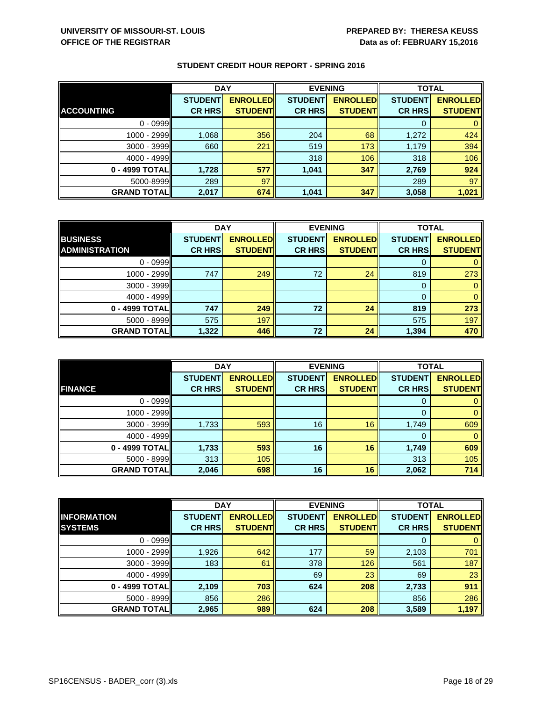|                    | <b>DAY</b>     |                 | <b>EVENING</b> |                 | <b>TOTAL</b>   |                 |
|--------------------|----------------|-----------------|----------------|-----------------|----------------|-----------------|
|                    | <b>STUDENT</b> | <b>ENROLLED</b> | <b>STUDENT</b> | <b>ENROLLED</b> | <b>STUDENT</b> | <b>ENROLLED</b> |
| <b>ACCOUNTING</b>  | <b>CR HRS</b>  | <b>STUDENT</b>  | <b>CR HRS</b>  | <b>STUDENT</b>  | <b>CR HRS</b>  | <b>STUDENT</b>  |
| $0 - 0999$         |                |                 |                |                 | 0              |                 |
| 1000 - 2999        | 1,068          | 356             | 204            | 68              | 1,272          | 424             |
| $3000 - 3999$      | 660            | 221             | 519            | 173             | 1,179          | 394             |
| $4000 - 4999$      |                |                 | 318            | 106             | 318            | 106             |
| 0 - 4999 TOTAL     | 1,728          | 577             | 1,041          | 347             | 2,769          | 924             |
| 5000-8999          | 289            | 97              |                |                 | 289            | 97              |
| <b>GRAND TOTAL</b> | 2,017          | 674             | 1,041          | 347             | 3,058          | 1,021           |

|                       | <b>DAY</b>     |                 | <b>EVENING</b> |                 | <b>TOTAL</b>   |                 |
|-----------------------|----------------|-----------------|----------------|-----------------|----------------|-----------------|
| <b>BUSINESS</b>       | <b>STUDENT</b> | <b>ENROLLED</b> | <b>STUDENT</b> | <b>ENROLLED</b> | <b>STUDENT</b> | <b>ENROLLED</b> |
| <b>ADMINISTRATION</b> | <b>CR HRS</b>  | <b>STUDENT</b>  | <b>CR HRS</b>  | <b>STUDENT</b>  | <b>CR HRS</b>  | <b>STUDENT</b>  |
| $0 - 0999$            |                |                 |                |                 |                |                 |
| $1000 - 2999$         | 747            | 249             | 72             | 24              | 819            | 273             |
| $3000 - 3999$         |                |                 |                |                 | 0              |                 |
| $4000 - 4999$         |                |                 |                |                 | $\Omega$       |                 |
| $0 - 4999$ TOTAL      | 747            | 249             | 72             | 24              | 819            | 273             |
| $5000 - 8999$         | 575            | 197             |                |                 | 575            | 197             |
| <b>GRAND TOTAL</b>    | 1,322          | 446             | 72             | 24              | 1,394          | 470             |

|                    | <b>DAY</b>     |                 |                | <b>EVENING</b>  | <b>TOTAL</b>   |                 |
|--------------------|----------------|-----------------|----------------|-----------------|----------------|-----------------|
|                    | <b>STUDENT</b> | <b>ENROLLED</b> | <b>STUDENT</b> | <b>ENROLLED</b> | <b>STUDENT</b> | <b>ENROLLED</b> |
| <b>FINANCE</b>     | <b>CR HRS</b>  | <b>STUDENT</b>  | <b>CR HRS</b>  | <b>STUDENT</b>  | <b>CR HRS</b>  | <b>STUDENT</b>  |
| $0 - 0999$         |                |                 |                |                 | 0              |                 |
| $1000 - 2999$      |                |                 |                |                 | $\Omega$       | $\mathbf{0}$    |
| $3000 - 3999$      | 1,733          | 593             | 16             | 16              | 1,749          | 609             |
| $4000 - 4999$      |                |                 |                |                 | 0              | $\Omega$        |
| 0 - 4999 TOTAL     | 1,733          | 593             | 16             | 16              | 1,749          | 609             |
| $5000 - 8999$      | 313            | 105             |                |                 | 313            | 105             |
| <b>GRAND TOTAL</b> | 2,046          | 698             | 16             | 16              | 2,062          | 714             |

|                    | <b>DAY</b>     |                 |                | <b>EVENING</b>  | <b>TOTAL</b>   |                 |
|--------------------|----------------|-----------------|----------------|-----------------|----------------|-----------------|
| <b>INFORMATION</b> | <b>STUDENT</b> | <b>ENROLLED</b> | <b>STUDENT</b> | <b>ENROLLED</b> | <b>STUDENT</b> | <b>ENROLLED</b> |
| <b>SYSTEMS</b>     | <b>CR HRS</b>  | <b>STUDENT</b>  | <b>CR HRS</b>  | <b>STUDENT</b>  | <b>CR HRS</b>  | <b>STUDENT</b>  |
| $0 - 0999$         |                |                 |                |                 |                |                 |
| 1000 - 2999        | 1,926          | 642             | 177            | 59              | 2,103          | 701             |
| $3000 - 3999$      | 183            | 61              | 378            | 126             | 561            | 187             |
| $4000 - 4999$      |                |                 | 69             | 23              | 69             | 23              |
| 0 - 4999 TOTAL     | 2,109          | 703             | 624            | 208             | 2,733          | 911             |
| $5000 - 8999$      | 856            | 286             |                |                 | 856            | 286             |
| <b>GRAND TOTAL</b> | 2,965          | 989             | 624            | 208             | 3,589          | 1,197           |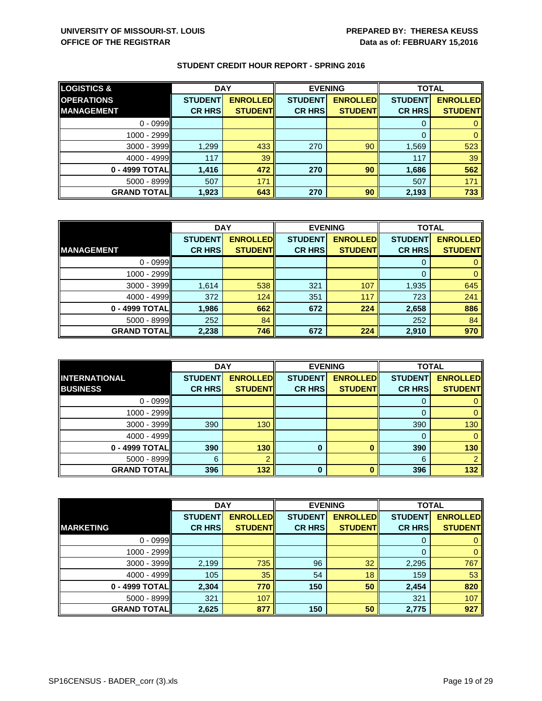| <b>LOGISTICS &amp;</b> | <b>DAY</b>     |                 | <b>EVENING</b> |                 | <b>TOTAL</b>   |                 |
|------------------------|----------------|-----------------|----------------|-----------------|----------------|-----------------|
| <b>OPERATIONS</b>      | <b>STUDENT</b> | <b>ENROLLED</b> | <b>STUDENT</b> | <b>ENROLLED</b> | <b>STUDENT</b> | <b>ENROLLED</b> |
| <b>MANAGEMENT</b>      | <b>CR HRS</b>  | <b>STUDENT</b>  | <b>CR HRS</b>  | <b>STUDENT</b>  | <b>CR HRS</b>  | <b>STUDENT</b>  |
| $0 - 0999$             |                |                 |                |                 |                |                 |
| 1000 - 2999            |                |                 |                |                 |                |                 |
| 3000 - 3999            | 1,299          | 433             | 270            | 90              | 1,569          | 523             |
| 4000 - 4999            | 117            | 39              |                |                 | 117            | 39              |
| 0 - 4999 TOTAL         | 1,416          | 472             | 270            | 90              | 1,686          | 562             |
| $5000 - 8999$          | 507            | 171             |                |                 | 507            | 171             |
| <b>GRAND TOTAL</b>     | 1,923          | 643             | 270            | 90              | 2,193          | 733             |

|                    | <b>DAY</b>     |                 | <b>EVENING</b> |                 | <b>TOTAL</b>   |                 |
|--------------------|----------------|-----------------|----------------|-----------------|----------------|-----------------|
|                    | <b>STUDENT</b> | <b>ENROLLED</b> | <b>STUDENT</b> | <b>ENROLLED</b> | <b>STUDENT</b> | <b>ENROLLED</b> |
| <b>MANAGEMENT</b>  | <b>CR HRS</b>  | <b>STUDENT</b>  | <b>CR HRS</b>  | <b>STUDENT</b>  | <b>CR HRS</b>  | <b>STUDENT</b>  |
| $0 - 0999$         |                |                 |                |                 |                |                 |
| $1000 - 2999$      |                |                 |                |                 |                |                 |
| $3000 - 3999$      | 1,614          | 538             | 321            | 107             | 1,935          | 645             |
| $4000 - 4999$      | 372            | 124             | 351            | 117             | 723            | 241             |
| $0 - 4999$ TOTAL   | 1,986          | 662             | 672            | 224             | 2,658          | 886             |
| $5000 - 8999$      | 252            | 84              |                |                 | 252            | 84              |
| <b>GRAND TOTAL</b> | 2,238          | 746             | 672            | 224             | 2,910          | 970             |

|                    | <b>DAY</b>     |                 |                | <b>EVENING</b>  | <b>TOTAL</b>   |                 |
|--------------------|----------------|-----------------|----------------|-----------------|----------------|-----------------|
| INTERNATIONAL      | <b>STUDENT</b> | <b>ENROLLED</b> | <b>STUDENT</b> | <b>ENROLLED</b> | <b>STUDENT</b> | <b>ENROLLED</b> |
| <b>BUSINESS</b>    | <b>CR HRS</b>  | <b>STUDENT</b>  | <b>CR HRS</b>  | <b>STUDENT</b>  | <b>CR HRS</b>  | <b>STUDENT</b>  |
| $0 - 0999$         |                |                 |                |                 | O              |                 |
| $1000 - 2999$      |                |                 |                |                 | 0              | 0               |
| $3000 - 3999$      | 390            | 130             |                |                 | 390            | 130             |
| $4000 - 4999$      |                |                 |                |                 | $\Omega$       |                 |
| 0 - 4999 TOTAL     | 390            | 130             | 0              |                 | 390            | 130             |
| $5000 - 8999$      | 6              |                 |                |                 | 6              |                 |
| <b>GRAND TOTAL</b> | 396            | 132             | 0              |                 | 396            | 132             |

|                    | <b>DAY</b>     |                 | <b>EVENING</b> |                 | <b>TOTAL</b>   |                 |
|--------------------|----------------|-----------------|----------------|-----------------|----------------|-----------------|
|                    | <b>STUDENT</b> | <b>ENROLLED</b> | <b>STUDENT</b> | <b>ENROLLED</b> | <b>STUDENT</b> | <b>ENROLLED</b> |
| <b>MARKETING</b>   | <b>CR HRS</b>  | <b>STUDENT</b>  | <b>CR HRS</b>  | <b>STUDENT</b>  | <b>CR HRS</b>  | <b>STUDENT</b>  |
| $0 - 0999$         |                |                 |                |                 |                |                 |
| 1000 - 2999        |                |                 |                |                 | $\Omega$       | $\Omega$        |
| $3000 - 3999$      | 2,199          | 735             | 96             | 32              | 2,295          | 767             |
| $4000 - 4999$      | 105            | 35              | 54             | 18              | 159            | 53              |
| 0 - 4999 TOTAL     | 2,304          | 770             | 150            | 50              | 2,454          | 820             |
| $5000 - 8999$      | 321            | 107             |                |                 | 321            | 107             |
| <b>GRAND TOTAL</b> | 2,625          | 877             | 150            | 50              | 2,775          | 927             |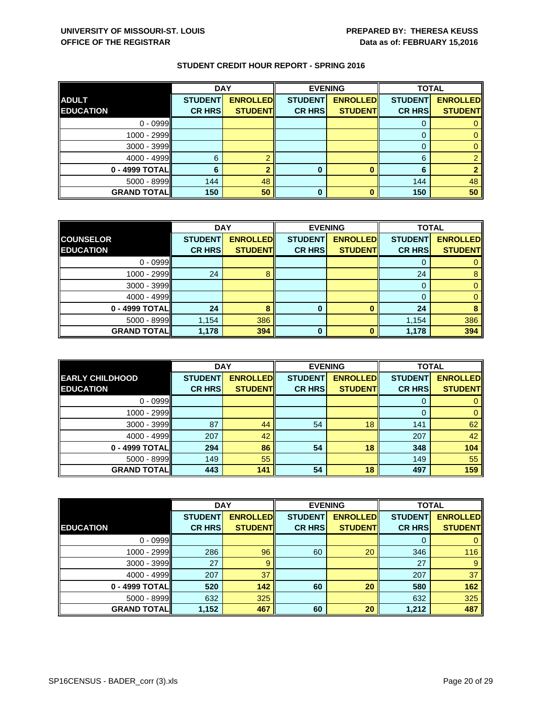|                    | <b>DAY</b>     |                 |                | <b>EVENING</b>  |                | <b>TOTAL</b>    |  |
|--------------------|----------------|-----------------|----------------|-----------------|----------------|-----------------|--|
| <b>ADULT</b>       | <b>STUDENT</b> | <b>ENROLLED</b> | <b>STUDENT</b> | <b>ENROLLED</b> | <b>STUDENT</b> | <b>ENROLLED</b> |  |
| <b>EDUCATION</b>   | <b>CR HRS</b>  | <b>STUDENT</b>  | <b>CR HRS</b>  | <b>STUDENT</b>  | <b>CR HRS</b>  | <b>STUDENT</b>  |  |
| $0 - 0999$         |                |                 |                |                 |                |                 |  |
| $1000 - 2999$      |                |                 |                |                 |                |                 |  |
| $3000 - 3999$      |                |                 |                |                 |                |                 |  |
| $4000 - 4999$      | 6              |                 |                |                 | 6              |                 |  |
| $0 - 4999$ TOTAL   |                |                 | 0              |                 |                |                 |  |
| $5000 - 8999$      | 144            | 48              |                |                 | 144            | 48              |  |
| <b>GRAND TOTAL</b> | 150            | 50              | 0              |                 | 150            | 50              |  |

|                    |                | <b>DAY</b><br><b>EVENING</b> |                |                 | <b>TOTAL</b>   |                 |
|--------------------|----------------|------------------------------|----------------|-----------------|----------------|-----------------|
| <b>COUNSELOR</b>   | <b>STUDENT</b> | <b>ENROLLED</b>              | <b>STUDENT</b> | <b>ENROLLED</b> | <b>STUDENT</b> | <b>ENROLLED</b> |
| <b>EDUCATION</b>   | <b>CR HRS</b>  | <b>STUDENT</b>               | <b>CR HRS</b>  | <b>STUDENT</b>  | <b>CR HRS</b>  | <b>STUDENT</b>  |
| $0 - 0999$         |                |                              |                |                 |                |                 |
| $1000 - 2999$      | 24             |                              |                |                 | 24             | 8               |
| $3000 - 3999$      |                |                              |                |                 | O              |                 |
| 4000 - 4999        |                |                              |                |                 |                |                 |
| $0 - 4999$ TOTAL   | 24             | 8                            | 0              |                 | 24             | 8               |
| $5000 - 8999$      | 1,154          | 386                          |                |                 | 1,154          | 386             |
| <b>GRAND TOTAL</b> | 1,178          | 394                          | 0              |                 | 1,178          | 394             |

|                        | <b>DAY</b>     |                 |                | <b>EVENING</b>  | <b>TOTAL</b>   |                 |
|------------------------|----------------|-----------------|----------------|-----------------|----------------|-----------------|
| <b>EARLY CHILDHOOD</b> | <b>STUDENT</b> | <b>ENROLLED</b> | <b>STUDENT</b> | <b>ENROLLED</b> | <b>STUDENT</b> | <b>ENROLLED</b> |
| <b>EDUCATION</b>       | <b>CR HRS</b>  | <b>STUDENT</b>  | <b>CR HRS</b>  | <b>STUDENT</b>  | <b>CR HRS</b>  | <b>STUDENT</b>  |
| $0 - 0999$             |                |                 |                |                 | 0              |                 |
| 1000 - 2999            |                |                 |                |                 | 0              | 0               |
| $3000 - 3999$          | 87             | 44              | 54             | 18              | 141            | 62              |
| $4000 - 4999$          | 207            | 42              |                |                 | 207            | 42              |
| 0 - 4999 TOTAL         | 294            | 86              | 54             | 18              | 348            | 104             |
| $5000 - 8999$          | 149            | 55              |                |                 | 149            | 55              |
| <b>GRAND TOTAL</b>     | 443            | 141             | 54             | 18              | 497            | 159             |

|                    | <b>DAY</b>     |                 | <b>EVENING</b> |                 | <b>TOTAL</b>   |                 |
|--------------------|----------------|-----------------|----------------|-----------------|----------------|-----------------|
|                    | <b>STUDENT</b> | <b>ENROLLED</b> | <b>STUDENT</b> | <b>ENROLLED</b> | <b>STUDENT</b> | <b>ENROLLED</b> |
| <b>EDUCATION</b>   | <b>CR HRS</b>  | <b>STUDENT</b>  | <b>CR HRS</b>  | <b>STUDENT</b>  | <b>CR HRS</b>  | <b>STUDENT</b>  |
| $0 - 0999$         |                |                 |                |                 |                |                 |
| 1000 - 2999        | 286            | 96              | 60             | 20              | 346            | 116             |
| 3000 - 3999        | 27             | 9               |                |                 | 27             | 9               |
| 4000 - 4999        | 207            | 37              |                |                 | 207            | 37              |
| $0 - 4999$ TOTAL   | 520            | 142             | 60             | 20              | 580            | 162             |
| 5000 - 8999        | 632            | 325             |                |                 | 632            | 325             |
| <b>GRAND TOTAL</b> | 1,152          | 467             | 60             | 20              | 1,212          | 487             |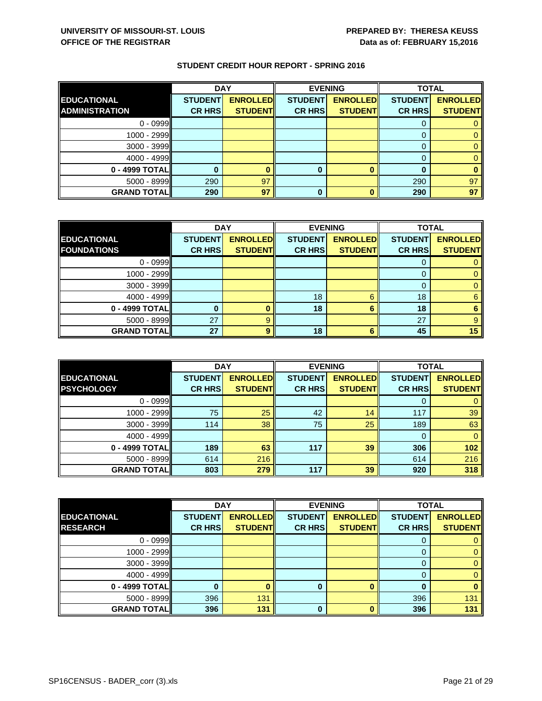|                       | <b>DAY</b>     |                 |                | <b>EVENING</b>  |                | <b>TOTAL</b>    |  |
|-----------------------|----------------|-----------------|----------------|-----------------|----------------|-----------------|--|
| <b>EDUCATIONAL</b>    | <b>STUDENT</b> | <b>ENROLLED</b> | <b>STUDENT</b> | <b>ENROLLED</b> | <b>STUDENT</b> | <b>ENROLLED</b> |  |
| <b>ADMINISTRATION</b> | <b>CR HRS</b>  | <b>STUDENT</b>  | <b>CR HRS</b>  | <b>STUDENT</b>  | <b>CR HRS</b>  | <b>STUDENT</b>  |  |
| $0 - 0999$            |                |                 |                |                 |                |                 |  |
| $1000 - 2999$         |                |                 |                |                 |                |                 |  |
| $3000 - 3999$         |                |                 |                |                 |                |                 |  |
| $4000 - 4999$         |                |                 |                |                 |                |                 |  |
| $0 - 4999$ TOTAL      |                |                 | 0              |                 |                |                 |  |
| $5000 - 8999$         | 290            | 97              |                |                 | 290            | 97              |  |
| <b>GRAND TOTAL</b>    | 290            | 97              | 0              |                 | 290            | 97              |  |

|                    | <b>DAY</b>     |                 | <b>EVENING</b> |                 | <b>TOTAL</b>   |                 |
|--------------------|----------------|-----------------|----------------|-----------------|----------------|-----------------|
| <b>EDUCATIONAL</b> | <b>STUDENT</b> | <b>ENROLLED</b> | <b>STUDENT</b> | <b>ENROLLED</b> | <b>STUDENT</b> | <b>ENROLLED</b> |
| <b>FOUNDATIONS</b> | <b>CR HRS</b>  | <b>STUDENT</b>  | <b>CR HRS</b>  | <b>STUDENT</b>  | <b>CR HRS</b>  | <b>STUDENT</b>  |
| $0 - 0999$         |                |                 |                |                 |                |                 |
| $1000 - 2999$      |                |                 |                |                 |                |                 |
| $3000 - 3999$      |                |                 |                |                 | O              |                 |
| $4000 - 4999$      |                |                 | 18             | ี               | 18             | 6               |
| 0 - 4999 TOTAL     | 0              |                 | 18             | 6               | 18             | 6               |
| $5000 - 8999$      | 27             | 9               |                |                 | 27             | 9               |
| <b>GRAND TOTAL</b> | 27             | 9               | 18             | 6               | 45             | 15              |

|                    | <b>DAY</b>     |                 |                | <b>EVENING</b>  | <b>TOTAL</b>   |                 |
|--------------------|----------------|-----------------|----------------|-----------------|----------------|-----------------|
| <b>EDUCATIONAL</b> | <b>STUDENT</b> | <b>ENROLLED</b> | <b>STUDENT</b> | <b>ENROLLED</b> | <b>STUDENT</b> | <b>ENROLLED</b> |
| <b>PSYCHOLOGY</b>  | <b>CR HRS</b>  | <b>STUDENT</b>  | <b>CR HRS</b>  | <b>STUDENT</b>  | <b>CR HRS</b>  | <b>STUDENT</b>  |
| $0 - 0999$         |                |                 |                |                 |                |                 |
| 1000 - 2999        | 75             | 25              | 42             | 14              | 117            | 39              |
| $3000 - 3999$      | 114            | 38              | 75             | 25              | 189            | 63              |
| $4000 - 4999$      |                |                 |                |                 | 0              | 0               |
| 0 - 4999 TOTAL     | 189            | 63              | 117            | 39              | 306            | 102             |
| $5000 - 8999$      | 614            | 216             |                |                 | 614            | 216             |
| <b>GRAND TOTAL</b> | 803            | 279             | 117            | 39              | 920            | 318             |

|                    | <b>DAY</b>     |                 |                | <b>EVENING</b>  | <b>TOTAL</b>   |                 |
|--------------------|----------------|-----------------|----------------|-----------------|----------------|-----------------|
| <b>EDUCATIONAL</b> | <b>STUDENT</b> | <b>ENROLLED</b> | <b>STUDENT</b> | <b>ENROLLED</b> | <b>STUDENT</b> | <b>ENROLLED</b> |
| <b>RESEARCH</b>    | <b>CR HRS</b>  | <b>STUDENT</b>  | <b>CR HRS</b>  | <b>STUDENT</b>  | <b>CR HRS</b>  | <b>STUDENT</b>  |
| $0 - 0999$         |                |                 |                |                 |                |                 |
| 1000 - 2999        |                |                 |                |                 | O              |                 |
| $3000 - 3999$      |                |                 |                |                 | O              |                 |
| $4000 - 4999$      |                |                 |                |                 |                |                 |
| $0 - 4999$ TOTAL   |                |                 | 0              |                 | 0              |                 |
| $5000 - 8999$      | 396            | 131             |                |                 | 396            | 131             |
| <b>GRAND TOTAL</b> | 396            | 131             | O              |                 | 396            | 131             |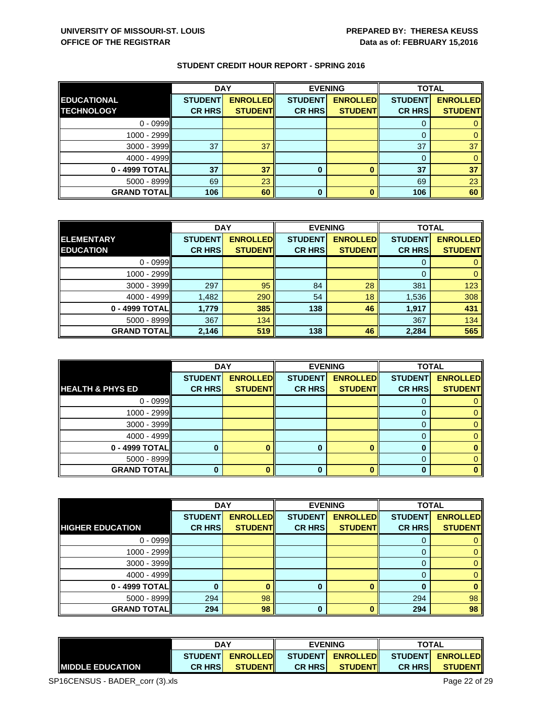|                    | <b>DAY</b>     |                 |                | <b>EVENING</b>  | <b>TOTAL</b>   |                 |
|--------------------|----------------|-----------------|----------------|-----------------|----------------|-----------------|
| <b>EDUCATIONAL</b> | <b>STUDENT</b> | <b>ENROLLED</b> | <b>STUDENT</b> | <b>ENROLLED</b> | <b>STUDENT</b> | <b>ENROLLED</b> |
| <b>TECHNOLOGY</b>  | <b>CR HRS</b>  | <b>STUDENT</b>  | <b>CR HRS</b>  | <b>STUDENT</b>  | <b>CR HRS</b>  | <b>STUDENT</b>  |
| $0 - 0999$         |                |                 |                |                 |                |                 |
| 1000 - 2999        |                |                 |                |                 |                |                 |
| $3000 - 3999$      | 37             | 37              |                |                 | 37             | 37              |
| $4000 - 4999$      |                |                 |                |                 |                |                 |
| 0 - 4999 TOTAL     | 37             | 37              | 0              |                 | 37             | 37              |
| $5000 - 8999$      | 69             | 23              |                |                 | 69             | 23              |
| <b>GRAND TOTAL</b> | 106            | 60              | 0              |                 | 106            | 60              |

|                    | <b>DAY</b>     |                 | <b>EVENING</b> |                 | <b>TOTAL</b>   |                 |
|--------------------|----------------|-----------------|----------------|-----------------|----------------|-----------------|
| ELEMENTARY         | <b>STUDENT</b> | <b>ENROLLED</b> | <b>STUDENT</b> | <b>ENROLLED</b> | <b>STUDENT</b> | <b>ENROLLED</b> |
| <b>EDUCATION</b>   | <b>CR HRS</b>  | <b>STUDENT</b>  | <b>CR HRS</b>  | <b>STUDENT</b>  | <b>CR HRS</b>  | <b>STUDENT</b>  |
| $0 - 0999$         |                |                 |                |                 |                |                 |
| $1000 - 2999$      |                |                 |                |                 |                |                 |
| $3000 - 3999$      | 297            | 95              | 84             | 28              | 381            | 123             |
| $4000 - 4999$      | 1,482          | 290             | 54             | 18              | 1,536          | 308             |
| $0 - 4999$ TOTAL   | 1,779          | 385             | 138            | 46              | 1,917          | 431             |
| $5000 - 8999$      | 367            | 134             |                |                 | 367            | 134             |
| <b>GRAND TOTAL</b> | 2,146          | 519             | 138            | 46              | 2,284          | 565             |

|                             | <b>DAY</b>     |                 |                | <b>EVENING</b>  | <b>TOTAL</b>   |                 |
|-----------------------------|----------------|-----------------|----------------|-----------------|----------------|-----------------|
|                             | <b>STUDENT</b> | <b>ENROLLED</b> | <b>STUDENT</b> | <b>ENROLLED</b> | <b>STUDENT</b> | <b>ENROLLED</b> |
| <b>HEALTH &amp; PHYS ED</b> | <b>CR HRS</b>  | <b>STUDENT</b>  | <b>CR HRS</b>  | <b>STUDENT</b>  | <b>CR HRS</b>  | <b>STUDENT</b>  |
| $0 - 0999$                  |                |                 |                |                 | U              |                 |
| $1000 - 2999$               |                |                 |                |                 |                |                 |
| $3000 - 3999$               |                |                 |                |                 | O              |                 |
| $4000 - 4999$               |                |                 |                |                 | O              |                 |
| 0 - 4999 TOTAL              |                |                 | 0              |                 |                |                 |
| $5000 - 8999$               |                |                 |                |                 | 0              |                 |
| <b>GRAND TOTAL</b>          |                |                 | 0              |                 |                |                 |

|                         | <b>DAY</b>     |                 |                | <b>EVENING</b>  | <b>TOTAL</b>   |                 |
|-------------------------|----------------|-----------------|----------------|-----------------|----------------|-----------------|
|                         | <b>STUDENT</b> | <b>ENROLLED</b> | <b>STUDENT</b> | <b>ENROLLED</b> | <b>STUDENT</b> | <b>ENROLLED</b> |
| <b>HIGHER EDUCATION</b> | <b>CR HRS</b>  | <b>STUDENT</b>  | <b>CR HRS</b>  | <b>STUDENT</b>  | <b>CR HRS</b>  | <b>STUDENT</b>  |
| $0 - 0999$              |                |                 |                |                 |                |                 |
| $1000 - 2999$           |                |                 |                |                 |                | 0               |
| $3000 - 3999$           |                |                 |                |                 | $\cup$         | 0               |
| $4000 - 4999$           |                |                 |                |                 | 0              | $\overline{0}$  |
| 0 - 4999 TOTAL          |                | 0               | 0              |                 | 0              | $\bf{0}$        |
| $5000 - 8999$           | 294            | 98              |                |                 | 294            | 98              |
| <b>GRAND TOTAL</b>      | 294            | 98              | 0              |                 | 294            | 98              |

|                          | <b>DAY</b><br><b>STUDENTI</b><br><b>ENROLLED</b> |                 | <b>EVENING</b> |                  | <b>TOTAL</b>   |                  |
|--------------------------|--------------------------------------------------|-----------------|----------------|------------------|----------------|------------------|
|                          |                                                  |                 |                | STUDENT ENROLLED |                | STUDENT ENROLLED |
| <b>IMIDDLE EDUCATION</b> | <b>CR HRSI</b>                                   | <b>STUDENTI</b> | <b>CR HRSI</b> | <b>STUDENTI</b>  | <b>CR HRSI</b> | <b>STUDENT</b>   |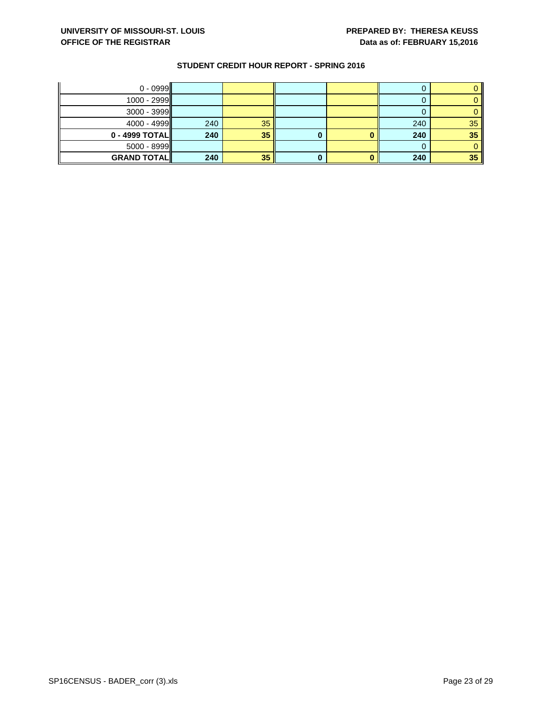| $0 - 0999$         |     |    |   |     |    |
|--------------------|-----|----|---|-----|----|
| $1000 - 2999$      |     |    |   |     |    |
| $3000 - 3999$      |     |    |   |     |    |
| $4000 - 4999$      | 240 | 35 |   | 240 | 35 |
| $0 - 4999$ TOTAL   | 240 | 35 | U | 240 | 35 |
| $5000 - 8999$      |     |    |   |     |    |
| <b>GRAND TOTAL</b> | 240 | 35 |   | 240 | 35 |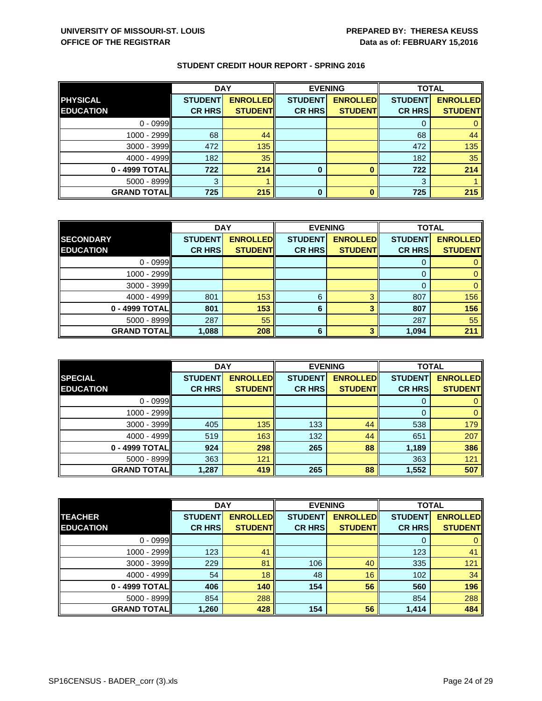|                    | <b>DAY</b>     |                 |                | <b>EVENING</b>  | <b>TOTAL</b>   |                 |
|--------------------|----------------|-----------------|----------------|-----------------|----------------|-----------------|
| <b>PHYSICAL</b>    | <b>STUDENT</b> | <b>ENROLLED</b> | <b>STUDENT</b> | <b>ENROLLED</b> | <b>STUDENT</b> | <b>ENROLLED</b> |
| <b>EDUCATION</b>   | <b>CR HRS</b>  | <b>STUDENT</b>  | <b>CR HRS</b>  | <b>STUDENT</b>  | <b>CR HRS</b>  | <b>STUDENT</b>  |
| $0 - 0999$         |                |                 |                |                 |                |                 |
| $1000 - 2999$      | 68             | 44              |                |                 | 68             | 44              |
| $3000 - 3999$      | 472            | 135             |                |                 | 472            | 135             |
| $4000 - 4999$      | 182            | 35              |                |                 | 182            | 35              |
| $0 - 4999$ TOTAL   | 722            | 214             | 0              |                 | 722            | 214             |
| $5000 - 8999$      | 3              |                 |                |                 | 3              |                 |
| <b>GRAND TOTAL</b> | 725            | 215             | 0              |                 | 725            | 215             |

|                    | <b>DAY</b>     |                 | <b>EVENING</b> |                 | <b>TOTAL</b>   |                 |
|--------------------|----------------|-----------------|----------------|-----------------|----------------|-----------------|
| <b>SECONDARY</b>   | <b>STUDENT</b> | <b>ENROLLED</b> | <b>STUDENT</b> | <b>ENROLLED</b> | <b>STUDENT</b> | <b>ENROLLED</b> |
| <b>EDUCATION</b>   | <b>CR HRS</b>  | <b>STUDENT</b>  | <b>CR HRS</b>  | <b>STUDENT</b>  | <b>CR HRS</b>  | <b>STUDENT</b>  |
| $0 - 0999$         |                |                 |                |                 |                |                 |
| $1000 - 2999$      |                |                 |                |                 |                |                 |
| $3000 - 3999$      |                |                 |                |                 |                |                 |
| $4000 - 4999$      | 801            | 153             | 6              | ◠               | 807            | 156             |
| 0 - 4999 TOTAL     | 801            | 153             | 6              |                 | 807            | 156             |
| $5000 - 8999$      | 287            | 55              |                |                 | 287            | 55              |
| <b>GRAND TOTAL</b> | 1,088          | 208             | 6              |                 | 1,094          | 211             |

|                    | <b>DAY</b>     |                 |                | <b>EVENING</b>  | <b>TOTAL</b>   |                 |
|--------------------|----------------|-----------------|----------------|-----------------|----------------|-----------------|
| <b>SPECIAL</b>     | <b>STUDENT</b> | <b>ENROLLED</b> | <b>STUDENT</b> | <b>ENROLLED</b> | <b>STUDENT</b> | <b>ENROLLED</b> |
| <b>EDUCATION</b>   | <b>CR HRS</b>  | <b>STUDENT</b>  | <b>CR HRS</b>  | <b>STUDENT</b>  | <b>CR HRS</b>  | <b>STUDENT</b>  |
| $0 - 0999$         |                |                 |                |                 | 0              |                 |
| $1000 - 2999$      |                |                 |                |                 | $\Omega$       | $\mathbf 0$     |
| $3000 - 3999$      | 405            | 135             | 133            | 44              | 538            | 179             |
| $4000 - 4999$      | 519            | 163             | 132            | 44              | 651            | 207             |
| 0 - 4999 TOTAL     | 924            | 298             | 265            | 88              | 1,189          | 386             |
| $5000 - 8999$      | 363            | 121             |                |                 | 363            | 121             |
| <b>GRAND TOTAL</b> | 1,287          | 419             | 265            | 88              | 1,552          | 507             |

|                    | <b>DAY</b>     |                 |                | <b>EVENING</b>  | <b>TOTAL</b>   |                 |
|--------------------|----------------|-----------------|----------------|-----------------|----------------|-----------------|
| <b>TEACHER</b>     | <b>STUDENT</b> | <b>ENROLLED</b> | <b>STUDENT</b> | <b>ENROLLED</b> | <b>STUDENT</b> | <b>ENROLLED</b> |
| <b>EDUCATION</b>   | <b>CR HRS</b>  | <b>STUDENT</b>  | <b>CR HRS</b>  | <b>STUDENT</b>  | <b>CR HRS</b>  | <b>STUDENT</b>  |
| $0 - 0999$         |                |                 |                |                 |                |                 |
| $1000 - 2999$      | 123            | 41              |                |                 | 123            | 41              |
| $3000 - 3999$      | 229            | 81              | 106            | 40              | 335            | 121             |
| 4000 - 4999        | 54             | 18              | 48             | 16              | 102            | 34              |
| $0 - 4999$ TOTAL   | 406            | 140             | 154            | 56              | 560            | 196             |
| 5000 - 8999        | 854            | 288             |                |                 | 854            | 288             |
| <b>GRAND TOTAL</b> | 1,260          | 428             | 154            | 56              | 1,414          | 484             |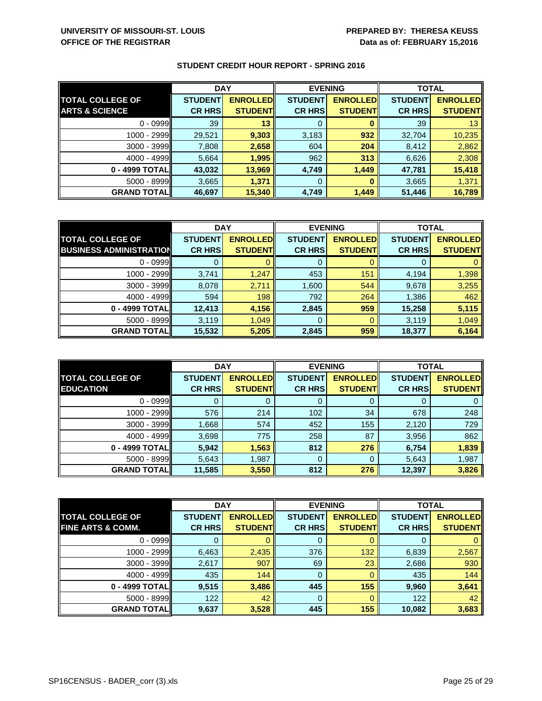|                           | <b>DAY</b>     |                 |                | <b>EVENING</b>  | <b>TOTAL</b>   |                 |
|---------------------------|----------------|-----------------|----------------|-----------------|----------------|-----------------|
| <b>TOTAL COLLEGE OF</b>   | <b>STUDENT</b> | <b>ENROLLED</b> | <b>STUDENT</b> | <b>ENROLLED</b> | <b>STUDENT</b> | <b>ENROLLED</b> |
| <b>ARTS &amp; SCIENCE</b> | <b>CR HRS</b>  | <b>STUDENT</b>  | <b>CR HRS</b>  | <b>STUDENT</b>  | <b>CR HRS</b>  | <b>STUDENT</b>  |
| $0 - 0999$                | 39             | 13              | 0              |                 | 39             | 13 <sup>°</sup> |
| 1000 - 2999               | 29,521         | 9,303           | 3,183          | 932             | 32,704         | 10,235          |
| $3000 - 3999$             | 7,808          | 2,658           | 604            | 204             | 8,412          | 2,862           |
| $4000 - 4999$             | 5,664          | 1,995           | 962            | 313             | 6,626          | 2,308           |
| $0 - 4999$ TOTAL          | 43,032         | 13,969          | 4,749          | 1,449           | 47,781         | 15,418          |
| $5000 - 8999$             | 3,665          | 1,371           | 0              |                 | 3,665          | 1,371           |
| <b>GRAND TOTAL</b>        | 46,697         | 15,340          | 4,749          | 1,449           | 51,446         | 16,789          |

|                                | <b>DAY</b>     |                 | <b>EVENING</b> |                 | <b>TOTAL</b>   |                 |
|--------------------------------|----------------|-----------------|----------------|-----------------|----------------|-----------------|
| <b>TOTAL COLLEGE OF</b>        | <b>STUDENT</b> | <b>ENROLLED</b> | <b>STUDENT</b> | <b>ENROLLED</b> | <b>STUDENT</b> | <b>ENROLLED</b> |
| <b>BUSINESS ADMINISTRATION</b> | <b>CR HRS</b>  | <b>STUDENT</b>  | <b>CR HRS</b>  | <b>STUDENT</b>  | <b>CR HRS</b>  | <b>STUDENT</b>  |
| $0 - 0999$                     |                |                 | 0              |                 |                |                 |
| $1000 - 2999$                  | 3,741          | 1,247           | 453            | 151             | 4,194          | 1,398           |
| $3000 - 3999$                  | 8,078          | 2,711           | 1,600          | 544             | 9,678          | 3,255           |
| 4000 - 4999                    | 594            | 198             | 792            | 264             | 1,386          | 462             |
| 0 - 4999 TOTAL                 | 12,413         | 4,156           | 2,845          | 959             | 15,258         | 5,115           |
| 5000 - 8999                    | 3,119          | 1,049           | 0              |                 | 3,119          | 1,049           |
| <b>GRAND TOTAL</b>             | 15,532         | 5,205           | 2,845          | 959             | 18,377         | 6,164           |

|                         | <b>DAY</b>     |                 |                | <b>EVENING</b>  | <b>TOTAL</b>   |                 |
|-------------------------|----------------|-----------------|----------------|-----------------|----------------|-----------------|
| <b>TOTAL COLLEGE OF</b> | <b>STUDENT</b> | <b>ENROLLED</b> | <b>STUDENT</b> | <b>ENROLLED</b> | <b>STUDENT</b> | <b>ENROLLED</b> |
| <b>EDUCATION</b>        | <b>CR HRS</b>  | <b>STUDENT</b>  | <b>CR HRS</b>  | <b>STUDENT</b>  | <b>CR HRS</b>  | <b>STUDENT</b>  |
| $0 - 0999$              |                |                 | 0              |                 | O              | 0               |
| $1000 - 2999$           | 576            | 214             | 102            | 34              | 678            | 248             |
| $3000 - 3999$           | 1,668          | 574             | 452            | 155             | 2,120          | 729             |
| 4000 - 4999             | 3,698          | 775             | 258            | 87              | 3,956          | 862             |
| 0 - 4999 TOTAL          | 5,942          | 1,563           | 812            | 276             | 6,754          | 1,839           |
| 5000 - 8999             | 5,643          | 1,987           | 0              |                 | 5,643          | 1,987           |
| <b>GRAND TOTAL</b>      | 11,585         | 3,550           | 812            | 276             | 12,397         | 3,826           |

|                              | <b>DAY</b>     |                 |                | <b>EVENING</b>  | <b>TOTAL</b>   |                 |
|------------------------------|----------------|-----------------|----------------|-----------------|----------------|-----------------|
| <b>TOTAL COLLEGE OF</b>      | <b>STUDENT</b> | <b>ENROLLED</b> | <b>STUDENT</b> | <b>ENROLLED</b> | <b>STUDENT</b> | <b>ENROLLED</b> |
| <b>FINE ARTS &amp; COMM.</b> | <b>CR HRS</b>  | <b>STUDENT</b>  | <b>CR HRS</b>  | <b>STUDENT</b>  | <b>CR HRS</b>  | <b>STUDENT</b>  |
| $0 - 0999$                   |                |                 | 0              |                 |                |                 |
| $1000 - 2999$                | 6,463          | 2,435           | 376            | 132             | 6,839          | 2,567           |
| $3000 - 3999$                | 2,617          | 907             | 69             | 23              | 2,686          | 930             |
| 4000 - 4999                  | 435            | 144             | 0              |                 | 435            | 144             |
| $0 - 4999$ TOTAL             | 9,515          | 3,486           | 445            | 155             | 9,960          | 3,641           |
| $5000 - 8999$                | 122            | 42              | 0              |                 | 122            | 42              |
| <b>GRAND TOTAL</b>           | 9,637          | 3,528           | 445            | 155             | 10,082         | 3,683           |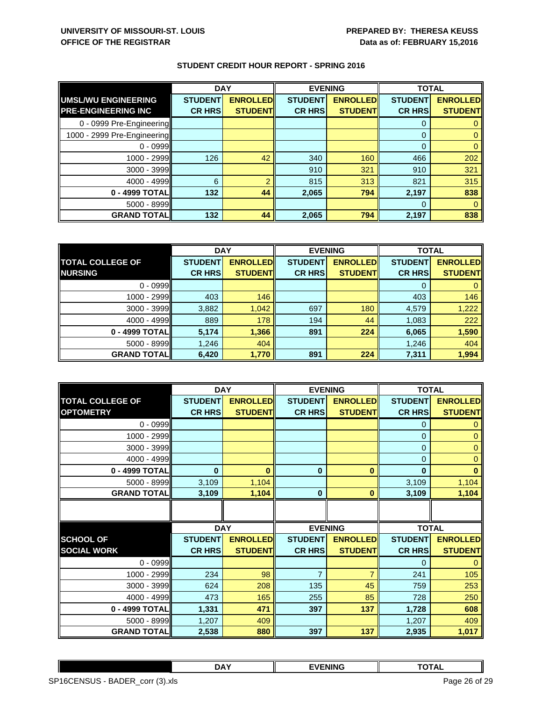|                             | <b>DAY</b>     |                 | <b>EVENING</b> |                 | <b>TOTAL</b>   |                 |
|-----------------------------|----------------|-----------------|----------------|-----------------|----------------|-----------------|
| UMSL/WU ENGINEERING         | <b>STUDENT</b> | <b>ENROLLED</b> | <b>STUDENT</b> | <b>ENROLLED</b> | <b>STUDENT</b> | <b>ENROLLED</b> |
| <b>PRE-ENGINEERING INC</b>  | <b>CR HRS</b>  | <b>STUDENT</b>  | <b>CR HRS</b>  | <b>STUDENT</b>  | <b>CR HRS</b>  | <b>STUDENT</b>  |
| 0 - 0999 Pre-Engineering    |                |                 |                |                 | 0              |                 |
| 1000 - 2999 Pre-Engineering |                |                 |                |                 | 0              |                 |
| $0 - 0999$                  |                |                 |                |                 | $\Omega$       |                 |
| 1000 - 2999                 | 126            | 42              | 340            | 160             | 466            | 202             |
| $3000 - 3999$               |                |                 | 910            | 321             | 910            | 321             |
| 4000 - 4999                 | 6              | $\overline{2}$  | 815            | 313             | 821            | 315             |
| 0 - 4999 TOTAL              | 132            | 44              | 2,065          | 794             | 2,197          | 838             |
| $5000 - 8999$               |                |                 |                |                 | $\Omega$       |                 |
| <b>GRAND TOTAL</b>          | 132            | 44              | 2,065          | 794             | 2,197          | 838             |

|                         | <b>DAY</b>     |                 | <b>EVENING</b> |                 | <b>TOTAL</b>   |                 |
|-------------------------|----------------|-----------------|----------------|-----------------|----------------|-----------------|
| <b>TOTAL COLLEGE OF</b> | <b>STUDENT</b> | <b>ENROLLED</b> | <b>STUDENT</b> | <b>ENROLLED</b> | <b>STUDENT</b> | <b>ENROLLED</b> |
| <b>NURSING</b>          | <b>CR HRS</b>  | <b>STUDENT</b>  | <b>CR HRS</b>  | <b>STUDENT</b>  | <b>CR HRS</b>  | <b>STUDENT</b>  |
| $0 - 0999$              |                |                 |                |                 |                |                 |
| $1000 - 2999$           | 403            | 146             |                |                 | 403            | 146             |
| $3000 - 3999$           | 3,882          | 1,042           | 697            | 180             | 4,579          | 1,222           |
| $4000 - 4999$           | 889            | 178             | 194            | 44              | 1,083          | 222             |
| 0 - 4999 TOTAL          | 5,174          | 1,366           | 891            | 224             | 6,065          | 1,590           |
| $5000 - 8999$           | 1,246          | 404             |                |                 | 1,246          | 404             |
| <b>GRAND TOTAL</b>      | 6,420          | 1,770           | 891            | 224             | 7,311          | 1,994           |

|                         |                | <b>DAY</b>      |                | <b>EVENING</b>  | <b>TOTAL</b>   |                 |
|-------------------------|----------------|-----------------|----------------|-----------------|----------------|-----------------|
| <b>TOTAL COLLEGE OF</b> | <b>STUDENT</b> | <b>ENROLLED</b> | <b>STUDENT</b> | <b>ENROLLED</b> | <b>STUDENT</b> | <b>ENROLLED</b> |
| <b>OPTOMETRY</b>        | <b>CR HRS</b>  | <b>STUDENT</b>  | <b>CR HRS</b>  | <b>STUDENT</b>  | <b>CR HRS</b>  | <b>STUDENT</b>  |
| $0 - 0999$              |                |                 |                |                 | 0              | 0               |
| 1000 - 2999             |                |                 |                |                 | $\mathbf{0}$   | 0               |
| 3000 - 3999             |                |                 |                |                 | $\mathbf{0}$   | $\Omega$        |
| 4000 - 4999             |                |                 |                |                 | $\Omega$       | $\overline{0}$  |
| 0 - 4999 TOTAL          | $\bf{0}$       | $\bf{0}$        | $\mathbf 0$    | $\bf{0}$        | $\bf{0}$       | $\bf{0}$        |
| 5000 - 8999             | 3,109          | 1,104           |                |                 | 3,109          | 1,104           |
| <b>GRAND TOTAL</b>      | 3,109          | 1,104           | $\mathbf 0$    | $\bf{0}$        | 3,109          | 1,104           |
|                         |                |                 |                |                 |                |                 |
|                         |                |                 |                |                 |                |                 |
|                         | <b>DAY</b>     |                 | <b>EVENING</b> |                 | <b>TOTAL</b>   |                 |
| <b>SCHOOL OF</b>        | <b>STUDENT</b> | <b>ENROLLED</b> | <b>STUDENT</b> | <b>ENROLLED</b> | <b>STUDENT</b> | <b>ENROLLED</b> |
| <b>SOCIAL WORK</b>      | <b>CR HRS</b>  | <b>STUDENT</b>  | <b>CR HRS</b>  | <b>STUDENT</b>  | <b>CR HRS</b>  | <b>STUDENT</b>  |
| $0 - 0999$              |                |                 |                |                 | 0              | $\Omega$        |
| 1000 - 2999             | 234            | 98              | $\overline{7}$ | $\overline{7}$  | 241            | 105             |
| 3000 - 3999             | 624            | 208             | 135            | 45              | 759            | 253             |
| 4000 - 4999             | 473            | 165             | 255            | 85              | 728            | 250             |
| 0 - 4999 TOTAL          | 1,331          | 471             | 397            | 137             | 1,728          | 608             |
| 5000 - 8999             | 1,207          | 409             |                |                 | 1,207          | 409             |
| <b>GRAND TOTAL</b>      | 2,538          | 880             | 397            | 137             | 2,935          | 1,017           |

|                                 | DAY | <b>EVENING</b> | <b>TOTAL</b>  |  |
|---------------------------------|-----|----------------|---------------|--|
| SP16CENSUS - BADER_corr (3).xls |     |                | Page 26 of 29 |  |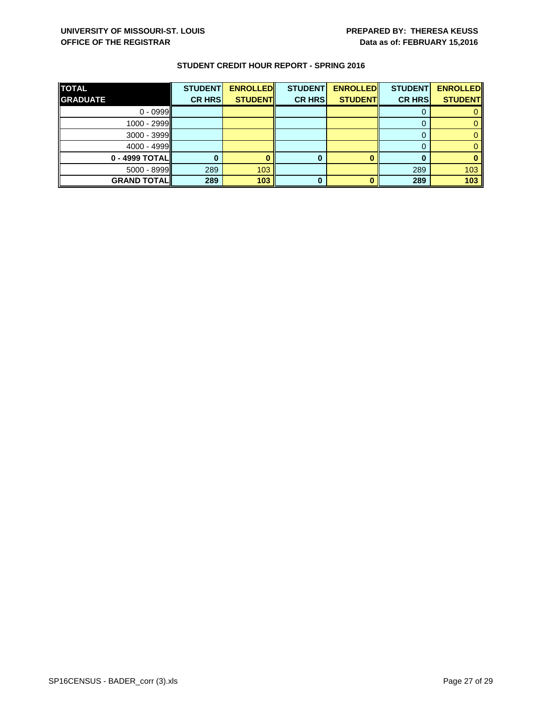| <b>TOTAL</b><br><b>GRADUATE</b> | <b>STUDENT</b><br><b>CR HRS</b> | <b>ENROLLED</b><br><b>STUDENT</b> | <b>STUDENT</b><br><b>CR HRS</b> | <b>ENROLLED</b><br><b>STUDENT</b> | <b>STUDENT</b><br><b>CR HRS</b> | <b>ENROLLED</b><br><b>STUDENT</b> |
|---------------------------------|---------------------------------|-----------------------------------|---------------------------------|-----------------------------------|---------------------------------|-----------------------------------|
| $0 - 0999$                      |                                 |                                   |                                 |                                   |                                 |                                   |
| $1000 - 2999$                   |                                 |                                   |                                 |                                   |                                 |                                   |
| $3000 - 3999$                   |                                 |                                   |                                 |                                   |                                 |                                   |
| $4000 - 4999$                   |                                 |                                   |                                 |                                   |                                 |                                   |
| $0 - 4999$ TOTAL                |                                 |                                   | 0                               |                                   |                                 |                                   |
| $5000 - 8999$                   | 289                             | 103                               |                                 |                                   | 289                             | 103                               |
| <b>GRAND TOTAL</b>              | 289                             | 103                               |                                 |                                   | 289                             | 103                               |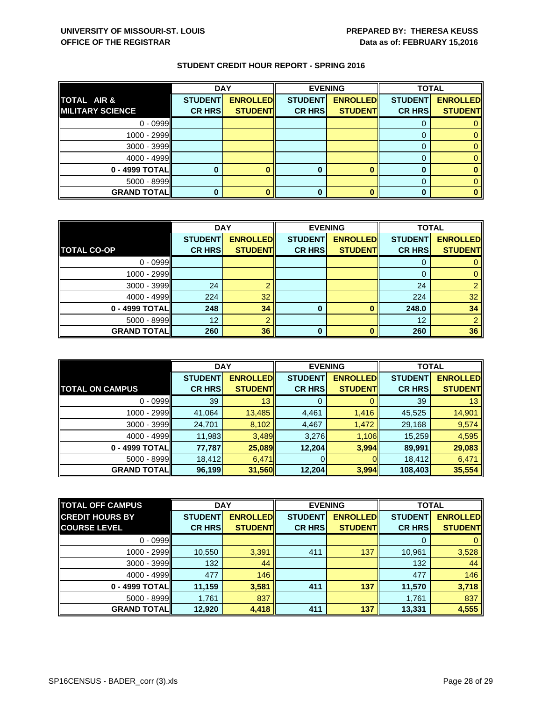|                         | <b>DAY</b>     |                 |                | <b>EVENING</b>  | <b>TOTAL</b>   |                 |
|-------------------------|----------------|-----------------|----------------|-----------------|----------------|-----------------|
| TOTAL AIR &             | <b>STUDENT</b> | <b>ENROLLED</b> | <b>STUDENT</b> | <b>ENROLLED</b> | <b>STUDENT</b> | <b>ENROLLED</b> |
| <b>MILITARY SCIENCE</b> | <b>CR HRS</b>  | <b>STUDENT</b>  | <b>CR HRS</b>  | <b>STUDENT</b>  | <b>CR HRS</b>  | <b>STUDENT</b>  |
| $0 - 0999$              |                |                 |                |                 |                |                 |
| $1000 - 2999$           |                |                 |                |                 |                |                 |
| $3000 - 3999$           |                |                 |                |                 |                |                 |
| $4000 - 4999$           |                |                 |                |                 |                |                 |
| $0 - 4999$ TOTAL        |                |                 |                |                 |                |                 |
| $5000 - 8999$           |                |                 |                |                 |                |                 |
| <b>GRAND TOTAL</b>      |                |                 | 0              |                 |                |                 |

|                    | <b>DAY</b>     |                 |                | <b>EVENING</b>  | <b>TOTAL</b>   |                 |
|--------------------|----------------|-----------------|----------------|-----------------|----------------|-----------------|
|                    | <b>STUDENT</b> | <b>ENROLLED</b> | <b>STUDENT</b> | <b>ENROLLED</b> | <b>STUDENT</b> | <b>ENROLLED</b> |
| <b>TOTAL CO-OP</b> | <b>CR HRS</b>  | <b>STUDENT</b>  | <b>CR HRS</b>  | <b>STUDENT</b>  | <b>CR HRS</b>  | <b>STUDENT</b>  |
| $0 - 0999$         |                |                 |                |                 |                |                 |
| $1000 - 2999$      |                |                 |                |                 |                |                 |
| $3000 - 3999$      | 24             |                 |                |                 | 24             |                 |
| $4000 - 4999$      | 224            | 32              |                |                 | 224            | 32              |
| 0 - 4999 TOTAL     | 248            | 34              | 0              |                 | 248.0          | 34              |
| $5000 - 8999$      | 12             |                 |                |                 | 12             |                 |
| <b>GRAND TOTAL</b> | 260            | 36              | 0              |                 | 260            | 36              |

|                        | <b>DAY</b>     |                 |                | <b>EVENING</b>  | <b>TOTAL</b>   |                 |
|------------------------|----------------|-----------------|----------------|-----------------|----------------|-----------------|
|                        | <b>STUDENT</b> | <b>ENROLLED</b> | <b>STUDENT</b> | <b>ENROLLED</b> | <b>STUDENT</b> | <b>ENROLLED</b> |
| <b>TOTAL ON CAMPUS</b> | <b>CR HRS</b>  | <b>STUDENT</b>  | <b>CR HRS</b>  | <b>STUDENT</b>  | <b>CR HRS</b>  | <b>STUDENT</b>  |
| $0 - 0999$             | 39             | 13              | 0              |                 | 39             | 13 <sub>2</sub> |
| $1000 - 2999$          | 41,064         | 13,485          | 4,461          | 1,416           | 45,525         | 14,901          |
| $3000 - 3999$          | 24,701         | 8,102           | 4,467          | 1,472           | 29,168         | 9,574           |
| $4000 - 4999$          | 11,983         | 3,489           | 3,276          | 1,106           | 15,259         | 4,595           |
| 0 - 4999 TOTAL         | 77,787         | 25,089          | 12,204         | 3,994           | 89,991         | 29,083          |
| $5000 - 8999$          | 18,412         | 6,471           |                | OΙ              | 18,412         | 6,471           |
| <b>GRAND TOTAL</b>     | 96,199         | 31,560          | 12,204         | 3,994           | 108,403        | 35,554          |

| <b>TOTAL OFF CAMPUS</b> | <b>DAY</b>     |                 | <b>EVENING</b> |                 | <b>TOTAL</b>   |                 |
|-------------------------|----------------|-----------------|----------------|-----------------|----------------|-----------------|
| <b>CREDIT HOURS BY</b>  | <b>STUDENT</b> | <b>ENROLLED</b> | <b>STUDENT</b> | <b>ENROLLED</b> | <b>STUDENT</b> | <b>ENROLLED</b> |
| <b>COURSE LEVEL</b>     | <b>CR HRS</b>  | <b>STUDENT</b>  | <b>CR HRS</b>  | <b>STUDENT</b>  | <b>CR HRS</b>  | <b>STUDENT</b>  |
| $0 - 0999$              |                |                 |                |                 |                | $\overline{0}$  |
| 1000 - 2999             | 10,550         | 3,391           | 411            | 137             | 10,961         | 3,528           |
| $3000 - 3999$           | 132            | 44              |                |                 | 132            | 44              |
| 4000 - 4999             | 477            | 146             |                |                 | 477            | 146             |
| $0 - 4999$ TOTAL        | 11,159         | 3,581           | 411            | 137             | 11,570         | 3,718           |
| $5000 - 8999$           | 1,761          | 837             |                |                 | 1,761          | 837             |
| <b>GRAND TOTAL</b>      | 12,920         | 4,418           | 411            | 137             | 13,331         | 4,555           |